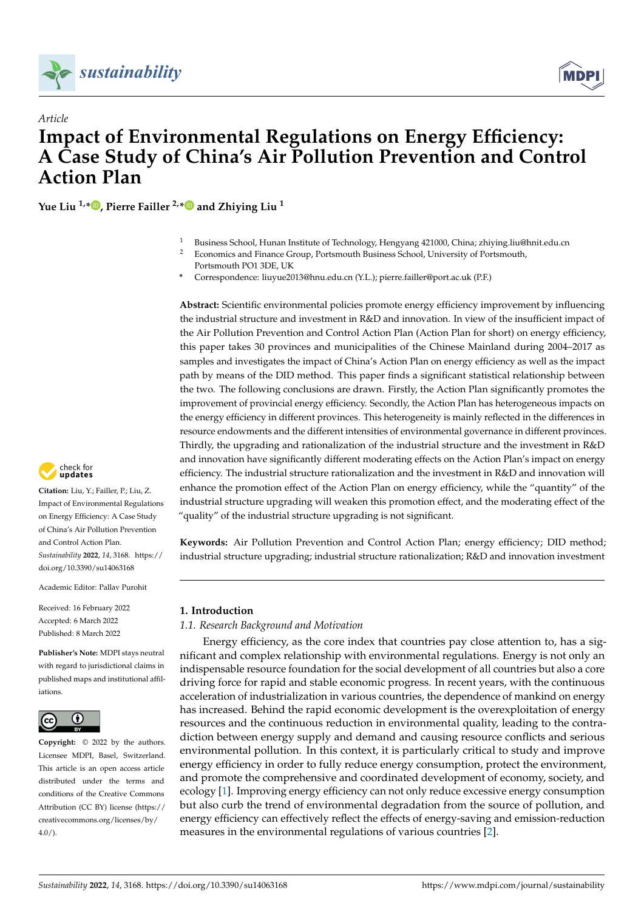

*Article*



# **Impact of Environmental Regulations on Energy Efficiency: A Case Study of China's Air Pollution Prevention and Control Action Plan**

**Yue Liu 1,\* [,](https://orcid.org/0000-0001-8885-4905) Pierre Failler 2,[\\*](https://orcid.org/0000-0002-9225-9399) and Zhiying Liu <sup>1</sup>**

- <sup>1</sup> Business School, Hunan Institute of Technology, Hengyang 421000, China; zhiying.liu@hnit.edu.cn
- <sup>2</sup> Economics and Finance Group, Portsmouth Business School, University of Portsmouth, Portsmouth PO1 3DE, UK
- **\*** Correspondence: liuyue2013@hnu.edu.cn (Y.L.); pierre.failler@port.ac.uk (P.F.)

**Abstract:** Scientific environmental policies promote energy efficiency improvement by influencing the industrial structure and investment in R&D and innovation. In view of the insufficient impact of the Air Pollution Prevention and Control Action Plan (Action Plan for short) on energy efficiency, this paper takes 30 provinces and municipalities of the Chinese Mainland during 2004–2017 as samples and investigates the impact of China's Action Plan on energy efficiency as well as the impact path by means of the DID method. This paper finds a significant statistical relationship between the two. The following conclusions are drawn. Firstly, the Action Plan significantly promotes the improvement of provincial energy efficiency. Secondly, the Action Plan has heterogeneous impacts on the energy efficiency in different provinces. This heterogeneity is mainly reflected in the differences in resource endowments and the different intensities of environmental governance in different provinces. Thirdly, the upgrading and rationalization of the industrial structure and the investment in R&D and innovation have significantly different moderating effects on the Action Plan's impact on energy efficiency. The industrial structure rationalization and the investment in R&D and innovation will enhance the promotion effect of the Action Plan on energy efficiency, while the "quantity" of the industrial structure upgrading will weaken this promotion effect, and the moderating effect of the "quality" of the industrial structure upgrading is not significant.

**Keywords:** Air Pollution Prevention and Control Action Plan; energy efficiency; DID method; industrial structure upgrading; industrial structure rationalization; R&D and innovation investment

# **1. Introduction**

*1.1. Research Background and Motivation*

Energy efficiency, as the core index that countries pay close attention to, has a significant and complex relationship with environmental regulations. Energy is not only an indispensable resource foundation for the social development of all countries but also a core driving force for rapid and stable economic progress. In recent years, with the continuous acceleration of industrialization in various countries, the dependence of mankind on energy has increased. Behind the rapid economic development is the overexploitation of energy resources and the continuous reduction in environmental quality, leading to the contradiction between energy supply and demand and causing resource conflicts and serious environmental pollution. In this context, it is particularly critical to study and improve energy efficiency in order to fully reduce energy consumption, protect the environment, and promote the comprehensive and coordinated development of economy, society, and ecology [\[1\]](#page-18-0). Improving energy efficiency can not only reduce excessive energy consumption but also curb the trend of environmental degradation from the source of pollution, and energy efficiency can effectively reflect the effects of energy-saving and emission-reduction measures in the environmental regulations of various countries [\[2\]](#page-18-1).



**Citation:** Liu, Y.; Failler, P.; Liu, Z. Impact of Environmental Regulations on Energy Efficiency: A Case Study of China's Air Pollution Prevention and Control Action Plan. *Sustainability* **2022**, *14*, 3168. [https://](https://doi.org/10.3390/su14063168) [doi.org/10.3390/su14063168](https://doi.org/10.3390/su14063168)

Academic Editor: Pallav Purohit

Received: 16 February 2022 Accepted: 6 March 2022 Published: 8 March 2022

**Publisher's Note:** MDPI stays neutral with regard to jurisdictional claims in published maps and institutional affiliations.



**Copyright:** © 2022 by the authors. Licensee MDPI, Basel, Switzerland. This article is an open access article distributed under the terms and conditions of the Creative Commons Attribution (CC BY) license [\(https://](https://creativecommons.org/licenses/by/4.0/) [creativecommons.org/licenses/by/](https://creativecommons.org/licenses/by/4.0/)  $4.0/$ ).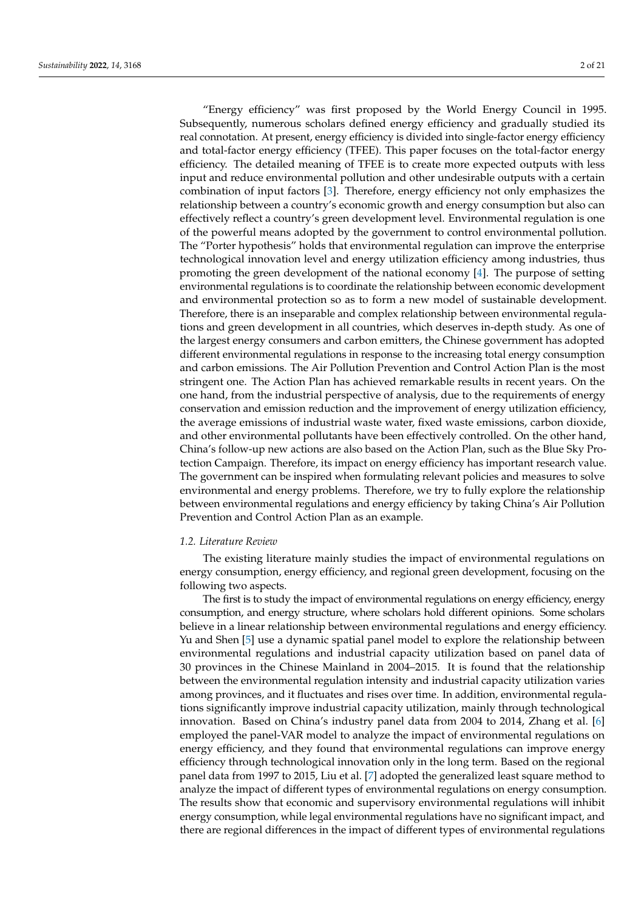"Energy efficiency" was first proposed by the World Energy Council in 1995. Subsequently, numerous scholars defined energy efficiency and gradually studied its real connotation. At present, energy efficiency is divided into single-factor energy efficiency and total-factor energy efficiency (TFEE). This paper focuses on the total-factor energy efficiency. The detailed meaning of TFEE is to create more expected outputs with less input and reduce environmental pollution and other undesirable outputs with a certain combination of input factors [\[3\]](#page-18-2). Therefore, energy efficiency not only emphasizes the relationship between a country's economic growth and energy consumption but also can effectively reflect a country's green development level. Environmental regulation is one of the powerful means adopted by the government to control environmental pollution. The "Porter hypothesis" holds that environmental regulation can improve the enterprise technological innovation level and energy utilization efficiency among industries, thus promoting the green development of the national economy [\[4\]](#page-18-3). The purpose of setting environmental regulations is to coordinate the relationship between economic development and environmental protection so as to form a new model of sustainable development. Therefore, there is an inseparable and complex relationship between environmental regulations and green development in all countries, which deserves in-depth study. As one of the largest energy consumers and carbon emitters, the Chinese government has adopted different environmental regulations in response to the increasing total energy consumption and carbon emissions. The Air Pollution Prevention and Control Action Plan is the most stringent one. The Action Plan has achieved remarkable results in recent years. On the one hand, from the industrial perspective of analysis, due to the requirements of energy conservation and emission reduction and the improvement of energy utilization efficiency, the average emissions of industrial waste water, fixed waste emissions, carbon dioxide, and other environmental pollutants have been effectively controlled. On the other hand, China's follow-up new actions are also based on the Action Plan, such as the Blue Sky Protection Campaign. Therefore, its impact on energy efficiency has important research value. The government can be inspired when formulating relevant policies and measures to solve environmental and energy problems. Therefore, we try to fully explore the relationship between environmental regulations and energy efficiency by taking China's Air Pollution Prevention and Control Action Plan as an example.

# *1.2. Literature Review*

The existing literature mainly studies the impact of environmental regulations on energy consumption, energy efficiency, and regional green development, focusing on the following two aspects.

The first is to study the impact of environmental regulations on energy efficiency, energy consumption, and energy structure, where scholars hold different opinions. Some scholars believe in a linear relationship between environmental regulations and energy efficiency. Yu and Shen [\[5\]](#page-19-0) use a dynamic spatial panel model to explore the relationship between environmental regulations and industrial capacity utilization based on panel data of 30 provinces in the Chinese Mainland in 2004–2015. It is found that the relationship between the environmental regulation intensity and industrial capacity utilization varies among provinces, and it fluctuates and rises over time. In addition, environmental regulations significantly improve industrial capacity utilization, mainly through technological innovation. Based on China's industry panel data from 2004 to 2014, Zhang et al. [\[6\]](#page-19-1) employed the panel-VAR model to analyze the impact of environmental regulations on energy efficiency, and they found that environmental regulations can improve energy efficiency through technological innovation only in the long term. Based on the regional panel data from 1997 to 2015, Liu et al. [\[7\]](#page-19-2) adopted the generalized least square method to analyze the impact of different types of environmental regulations on energy consumption. The results show that economic and supervisory environmental regulations will inhibit energy consumption, while legal environmental regulations have no significant impact, and there are regional differences in the impact of different types of environmental regulations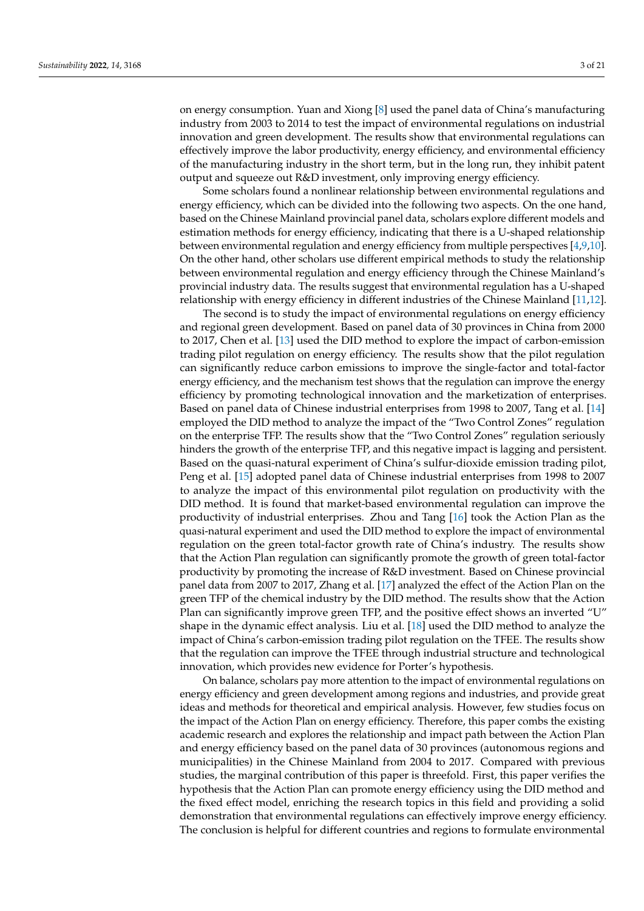on energy consumption. Yuan and Xiong [\[8\]](#page-19-3) used the panel data of China's manufacturing industry from 2003 to 2014 to test the impact of environmental regulations on industrial innovation and green development. The results show that environmental regulations can effectively improve the labor productivity, energy efficiency, and environmental efficiency of the manufacturing industry in the short term, but in the long run, they inhibit patent output and squeeze out R&D investment, only improving energy efficiency.

Some scholars found a nonlinear relationship between environmental regulations and energy efficiency, which can be divided into the following two aspects. On the one hand, based on the Chinese Mainland provincial panel data, scholars explore different models and estimation methods for energy efficiency, indicating that there is a U-shaped relationship between environmental regulation and energy efficiency from multiple perspectives [\[4](#page-18-3)[,9](#page-19-4)[,10\]](#page-19-5). On the other hand, other scholars use different empirical methods to study the relationship between environmental regulation and energy efficiency through the Chinese Mainland's provincial industry data. The results suggest that environmental regulation has a U-shaped relationship with energy efficiency in different industries of the Chinese Mainland [\[11,](#page-19-6)[12\]](#page-19-7).

The second is to study the impact of environmental regulations on energy efficiency and regional green development. Based on panel data of 30 provinces in China from 2000 to 2017, Chen et al. [\[13\]](#page-19-8) used the DID method to explore the impact of carbon-emission trading pilot regulation on energy efficiency. The results show that the pilot regulation can significantly reduce carbon emissions to improve the single-factor and total-factor energy efficiency, and the mechanism test shows that the regulation can improve the energy efficiency by promoting technological innovation and the marketization of enterprises. Based on panel data of Chinese industrial enterprises from 1998 to 2007, Tang et al. [\[14\]](#page-19-9) employed the DID method to analyze the impact of the "Two Control Zones" regulation on the enterprise TFP. The results show that the "Two Control Zones" regulation seriously hinders the growth of the enterprise TFP, and this negative impact is lagging and persistent. Based on the quasi-natural experiment of China's sulfur-dioxide emission trading pilot, Peng et al. [\[15\]](#page-19-10) adopted panel data of Chinese industrial enterprises from 1998 to 2007 to analyze the impact of this environmental pilot regulation on productivity with the DID method. It is found that market-based environmental regulation can improve the productivity of industrial enterprises. Zhou and Tang [\[16\]](#page-19-11) took the Action Plan as the quasi-natural experiment and used the DID method to explore the impact of environmental regulation on the green total-factor growth rate of China's industry. The results show that the Action Plan regulation can significantly promote the growth of green total-factor productivity by promoting the increase of R&D investment. Based on Chinese provincial panel data from 2007 to 2017, Zhang et al. [\[17\]](#page-19-12) analyzed the effect of the Action Plan on the green TFP of the chemical industry by the DID method. The results show that the Action Plan can significantly improve green TFP, and the positive effect shows an inverted "U" shape in the dynamic effect analysis. Liu et al. [\[18\]](#page-19-13) used the DID method to analyze the impact of China's carbon-emission trading pilot regulation on the TFEE. The results show that the regulation can improve the TFEE through industrial structure and technological innovation, which provides new evidence for Porter's hypothesis.

On balance, scholars pay more attention to the impact of environmental regulations on energy efficiency and green development among regions and industries, and provide great ideas and methods for theoretical and empirical analysis. However, few studies focus on the impact of the Action Plan on energy efficiency. Therefore, this paper combs the existing academic research and explores the relationship and impact path between the Action Plan and energy efficiency based on the panel data of 30 provinces (autonomous regions and municipalities) in the Chinese Mainland from 2004 to 2017. Compared with previous studies, the marginal contribution of this paper is threefold. First, this paper verifies the hypothesis that the Action Plan can promote energy efficiency using the DID method and the fixed effect model, enriching the research topics in this field and providing a solid demonstration that environmental regulations can effectively improve energy efficiency. The conclusion is helpful for different countries and regions to formulate environmental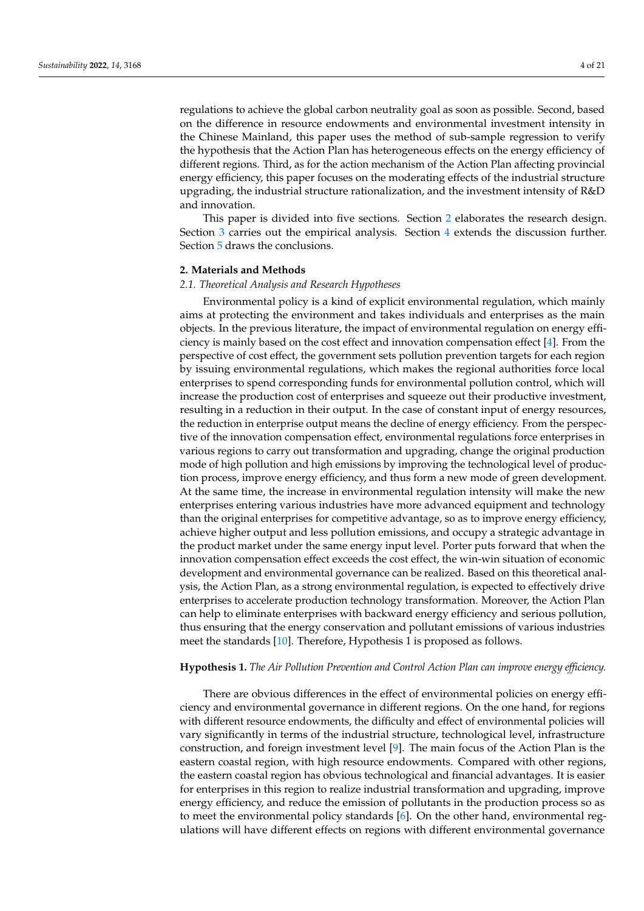regulations to achieve the global carbon neutrality goal as soon as possible. Second, based on the difference in resource endowments and environmental investment intensity in the Chinese Mainland, this paper uses the method of sub-sample regression to verify the hypothesis that the Action Plan has heterogeneous effects on the energy efficiency of different regions. Third, as for the action mechanism of the Action Plan affecting provincial energy efficiency, this paper focuses on the moderating effects of the industrial structure upgrading, the industrial structure rationalization, and the investment intensity of R&D and innovation.

This paper is divided into five sections. Section [2](#page-3-0) elaborates the research design. Section [3](#page-10-0) carries out the empirical analysis. Section [4](#page-14-0) extends the discussion further. Section [5](#page-17-0) draws the conclusions.

#### <span id="page-3-0"></span>**2. Materials and Methods**

#### *2.1. Theoretical Analysis and Research Hypotheses*

Environmental policy is a kind of explicit environmental regulation, which mainly aims at protecting the environment and takes individuals and enterprises as the main objects. In the previous literature, the impact of environmental regulation on energy efficiency is mainly based on the cost effect and innovation compensation effect [\[4\]](#page-18-3). From the perspective of cost effect, the government sets pollution prevention targets for each region by issuing environmental regulations, which makes the regional authorities force local enterprises to spend corresponding funds for environmental pollution control, which will increase the production cost of enterprises and squeeze out their productive investment, resulting in a reduction in their output. In the case of constant input of energy resources, the reduction in enterprise output means the decline of energy efficiency. From the perspective of the innovation compensation effect, environmental regulations force enterprises in various regions to carry out transformation and upgrading, change the original production mode of high pollution and high emissions by improving the technological level of production process, improve energy efficiency, and thus form a new mode of green development. At the same time, the increase in environmental regulation intensity will make the new enterprises entering various industries have more advanced equipment and technology than the original enterprises for competitive advantage, so as to improve energy efficiency, achieve higher output and less pollution emissions, and occupy a strategic advantage in the product market under the same energy input level. Porter puts forward that when the innovation compensation effect exceeds the cost effect, the win-win situation of economic development and environmental governance can be realized. Based on this theoretical analysis, the Action Plan, as a strong environmental regulation, is expected to effectively drive enterprises to accelerate production technology transformation. Moreover, the Action Plan can help to eliminate enterprises with backward energy efficiency and serious pollution, thus ensuring that the energy conservation and pollutant emissions of various industries meet the standards [\[10\]](#page-19-5). Therefore, Hypothesis 1 is proposed as follows.

## **Hypothesis 1.** *The Air Pollution Prevention and Control Action Plan can improve energy efficiency.*

There are obvious differences in the effect of environmental policies on energy efficiency and environmental governance in different regions. On the one hand, for regions with different resource endowments, the difficulty and effect of environmental policies will vary significantly in terms of the industrial structure, technological level, infrastructure construction, and foreign investment level [\[9\]](#page-19-4). The main focus of the Action Plan is the eastern coastal region, with high resource endowments. Compared with other regions, the eastern coastal region has obvious technological and financial advantages. It is easier for enterprises in this region to realize industrial transformation and upgrading, improve energy efficiency, and reduce the emission of pollutants in the production process so as to meet the environmental policy standards [\[6\]](#page-19-1). On the other hand, environmental regulations will have different effects on regions with different environmental governance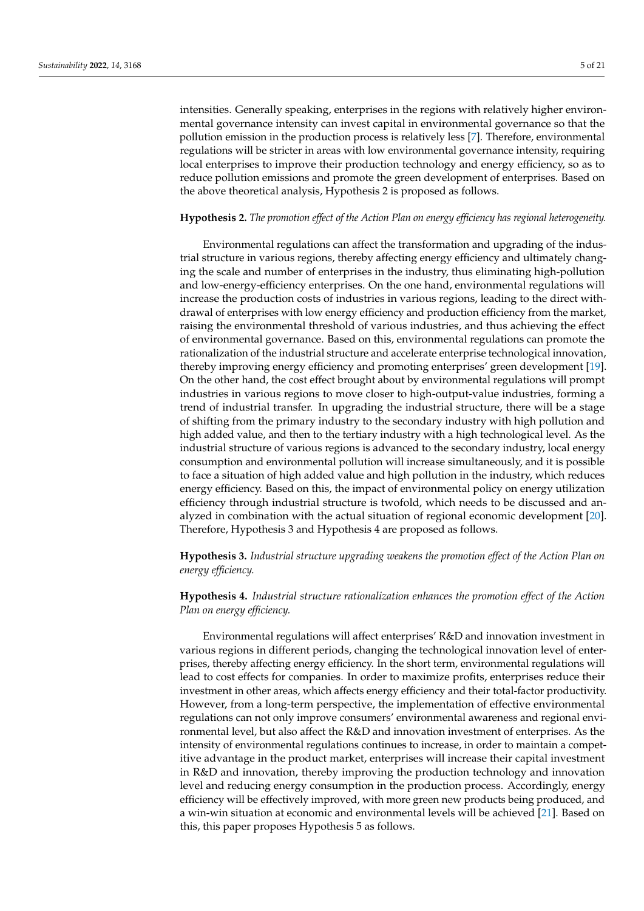intensities. Generally speaking, enterprises in the regions with relatively higher environmental governance intensity can invest capital in environmental governance so that the pollution emission in the production process is relatively less [\[7\]](#page-19-2). Therefore, environmental regulations will be stricter in areas with low environmental governance intensity, requiring local enterprises to improve their production technology and energy efficiency, so as to reduce pollution emissions and promote the green development of enterprises. Based on the above theoretical analysis, Hypothesis 2 is proposed as follows.

# **Hypothesis 2.** *The promotion effect of the Action Plan on energy efficiency has regional heterogeneity.*

Environmental regulations can affect the transformation and upgrading of the industrial structure in various regions, thereby affecting energy efficiency and ultimately changing the scale and number of enterprises in the industry, thus eliminating high-pollution and low-energy-efficiency enterprises. On the one hand, environmental regulations will increase the production costs of industries in various regions, leading to the direct withdrawal of enterprises with low energy efficiency and production efficiency from the market, raising the environmental threshold of various industries, and thus achieving the effect of environmental governance. Based on this, environmental regulations can promote the rationalization of the industrial structure and accelerate enterprise technological innovation, thereby improving energy efficiency and promoting enterprises' green development [\[19\]](#page-19-14). On the other hand, the cost effect brought about by environmental regulations will prompt industries in various regions to move closer to high-output-value industries, forming a trend of industrial transfer. In upgrading the industrial structure, there will be a stage of shifting from the primary industry to the secondary industry with high pollution and high added value, and then to the tertiary industry with a high technological level. As the industrial structure of various regions is advanced to the secondary industry, local energy consumption and environmental pollution will increase simultaneously, and it is possible to face a situation of high added value and high pollution in the industry, which reduces energy efficiency. Based on this, the impact of environmental policy on energy utilization efficiency through industrial structure is twofold, which needs to be discussed and analyzed in combination with the actual situation of regional economic development [\[20\]](#page-19-15). Therefore, Hypothesis 3 and Hypothesis 4 are proposed as follows.

**Hypothesis 3.** *Industrial structure upgrading weakens the promotion effect of the Action Plan on energy efficiency.*

**Hypothesis 4.** *Industrial structure rationalization enhances the promotion effect of the Action Plan on energy efficiency.*

Environmental regulations will affect enterprises' R&D and innovation investment in various regions in different periods, changing the technological innovation level of enterprises, thereby affecting energy efficiency. In the short term, environmental regulations will lead to cost effects for companies. In order to maximize profits, enterprises reduce their investment in other areas, which affects energy efficiency and their total-factor productivity. However, from a long-term perspective, the implementation of effective environmental regulations can not only improve consumers' environmental awareness and regional environmental level, but also affect the R&D and innovation investment of enterprises. As the intensity of environmental regulations continues to increase, in order to maintain a competitive advantage in the product market, enterprises will increase their capital investment in R&D and innovation, thereby improving the production technology and innovation level and reducing energy consumption in the production process. Accordingly, energy efficiency will be effectively improved, with more green new products being produced, and a win-win situation at economic and environmental levels will be achieved [\[21\]](#page-19-16). Based on this, this paper proposes Hypothesis 5 as follows.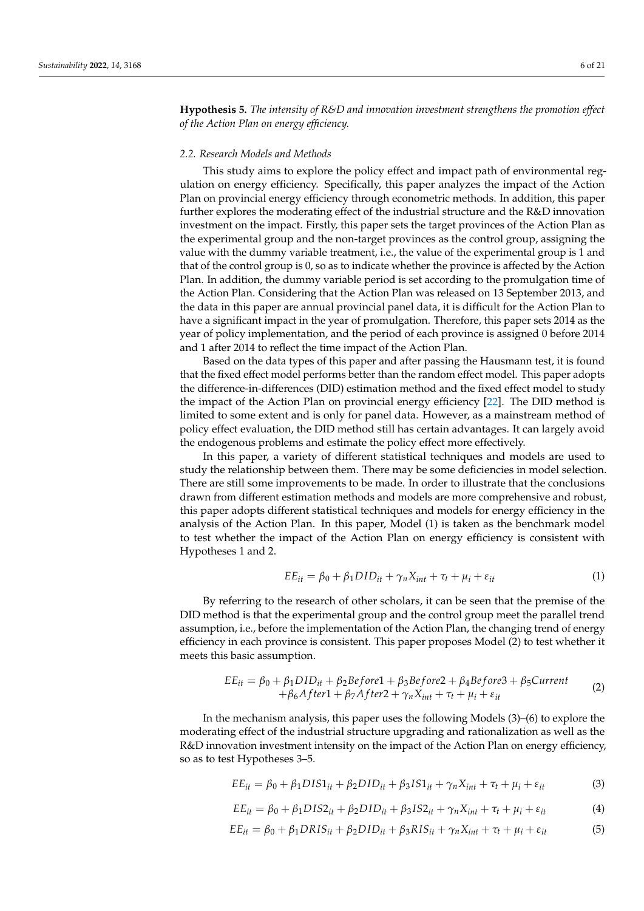**Hypothesis 5.** *The intensity of R&D and innovation investment strengthens the promotion effect of the Action Plan on energy efficiency.*

#### *2.2. Research Models and Methods*

This study aims to explore the policy effect and impact path of environmental regulation on energy efficiency. Specifically, this paper analyzes the impact of the Action Plan on provincial energy efficiency through econometric methods. In addition, this paper further explores the moderating effect of the industrial structure and the R&D innovation investment on the impact. Firstly, this paper sets the target provinces of the Action Plan as the experimental group and the non-target provinces as the control group, assigning the value with the dummy variable treatment, i.e., the value of the experimental group is 1 and that of the control group is 0, so as to indicate whether the province is affected by the Action Plan. In addition, the dummy variable period is set according to the promulgation time of the Action Plan. Considering that the Action Plan was released on 13 September 2013, and the data in this paper are annual provincial panel data, it is difficult for the Action Plan to have a significant impact in the year of promulgation. Therefore, this paper sets 2014 as the year of policy implementation, and the period of each province is assigned 0 before 2014 and 1 after 2014 to reflect the time impact of the Action Plan.

Based on the data types of this paper and after passing the Hausmann test, it is found that the fixed effect model performs better than the random effect model. This paper adopts the difference-in-differences (DID) estimation method and the fixed effect model to study the impact of the Action Plan on provincial energy efficiency [\[22\]](#page-19-17). The DID method is limited to some extent and is only for panel data. However, as a mainstream method of policy effect evaluation, the DID method still has certain advantages. It can largely avoid the endogenous problems and estimate the policy effect more effectively.

In this paper, a variety of different statistical techniques and models are used to study the relationship between them. There may be some deficiencies in model selection. There are still some improvements to be made. In order to illustrate that the conclusions drawn from different estimation methods and models are more comprehensive and robust, this paper adopts different statistical techniques and models for energy efficiency in the analysis of the Action Plan. In this paper, Model (1) is taken as the benchmark model to test whether the impact of the Action Plan on energy efficiency is consistent with Hypotheses 1 and 2.

$$
EE_{it} = \beta_0 + \beta_1 DID_{it} + \gamma_n X_{int} + \tau_t + \mu_i + \varepsilon_{it}
$$
\n(1)

By referring to the research of other scholars, it can be seen that the premise of the DID method is that the experimental group and the control group meet the parallel trend assumption, i.e., before the implementation of the Action Plan, the changing trend of energy efficiency in each province is consistent. This paper proposes Model (2) to test whether it meets this basic assumption.

$$
EE_{it} = \beta_0 + \beta_1 DID_{it} + \beta_2 Before1 + \beta_3 Before2 + \beta_4 Before3 + \beta_5 Current + \beta_6 After1 + \beta_7 After2 + \gamma_n X_{int} + \tau_t + \mu_i + \varepsilon_{it}
$$
\n(2)

In the mechanism analysis, this paper uses the following Models (3)–(6) to explore the moderating effect of the industrial structure upgrading and rationalization as well as the R&D innovation investment intensity on the impact of the Action Plan on energy efficiency, so as to test Hypotheses 3–5.

$$
EE_{it} = \beta_0 + \beta_1 DIS1_{it} + \beta_2 DID_{it} + \beta_3 IS1_{it} + \gamma_n X_{int} + \tau_t + \mu_i + \varepsilon_{it}
$$
(3)

$$
EE_{it} = \beta_0 + \beta_1 DIS2_{it} + \beta_2 DID_{it} + \beta_3 IS2_{it} + \gamma_n X_{int} + \tau_t + \mu_i + \varepsilon_{it}
$$
\n(4)

$$
EE_{it} = \beta_0 + \beta_1 DRIS_{it} + \beta_2 DID_{it} + \beta_3 RIS_{it} + \gamma_n X_{int} + \tau_t + \mu_i + \varepsilon_{it}
$$
(5)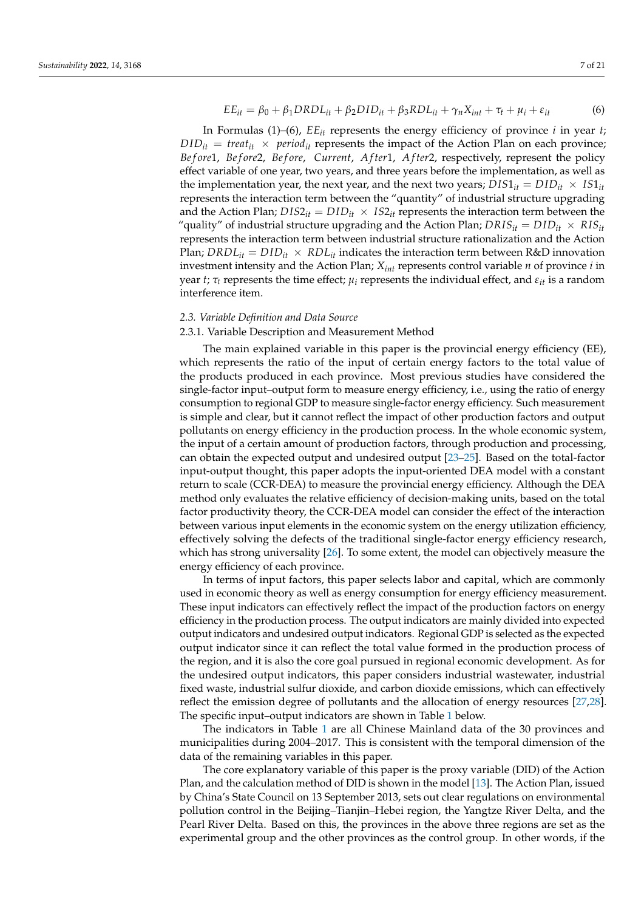$$
EE_{it} = \beta_0 + \beta_1 DRDL_{it} + \beta_2DID_{it} + \beta_3 RDL_{it} + \gamma_n X_{int} + \tau_t + \mu_i + \varepsilon_{it}
$$
(6)

In Formulas (1)–(6),  $EE_{it}$  represents the energy efficiency of province *i* in year *t*;  $DID_{it}$  = *treat*<sub>*it*</sub>  $\times$  *period<sub>it</sub>* represents the impact of the Action Plan on each province; *Be f ore*1, *Be f ore*2, *Be f ore*, *Current*, *A f ter*1, *A f ter*2, respectively, represent the policy effect variable of one year, two years, and three years before the implementation, as well as the implementation year, the next year, and the next two years;  $DIS1_{it} = DID_{it} \times IS1_{it}$ represents the interaction term between the "quantity" of industrial structure upgrading and the Action Plan;  $DIS2_{it} = DID_{it} \times IS2_{it}$  represents the interaction term between the "quality" of industrial structure upgrading and the Action Plan;  $DRIS_{it} = DID_{it} \times RIS_{it}$ represents the interaction term between industrial structure rationalization and the Action Plan;  $DRDL_{it} = DID_{it} \times RDL_{it}$  indicates the interaction term between R&D innovation investment intensity and the Action Plan; *Xint* represents control variable *n* of province *i* in year *t*;  $\tau_t$  represents the time effect;  $\mu_i$  represents the individual effect, and  $\varepsilon_{it}$  is a random interference item.

#### *2.3. Variable Definition and Data Source*

#### 2.3.1. Variable Description and Measurement Method

The main explained variable in this paper is the provincial energy efficiency (EE), which represents the ratio of the input of certain energy factors to the total value of the products produced in each province. Most previous studies have considered the single-factor input–output form to measure energy efficiency, i.e., using the ratio of energy consumption to regional GDP to measure single-factor energy efficiency. Such measurement is simple and clear, but it cannot reflect the impact of other production factors and output pollutants on energy efficiency in the production process. In the whole economic system, the input of a certain amount of production factors, through production and processing, can obtain the expected output and undesired output [\[23](#page-19-18)[–25\]](#page-19-19). Based on the total-factor input-output thought, this paper adopts the input-oriented DEA model with a constant return to scale (CCR-DEA) to measure the provincial energy efficiency. Although the DEA method only evaluates the relative efficiency of decision-making units, based on the total factor productivity theory, the CCR-DEA model can consider the effect of the interaction between various input elements in the economic system on the energy utilization efficiency, effectively solving the defects of the traditional single-factor energy efficiency research, which has strong universality [\[26\]](#page-19-20). To some extent, the model can objectively measure the energy efficiency of each province.

In terms of input factors, this paper selects labor and capital, which are commonly used in economic theory as well as energy consumption for energy efficiency measurement. These input indicators can effectively reflect the impact of the production factors on energy efficiency in the production process. The output indicators are mainly divided into expected output indicators and undesired output indicators. Regional GDP is selected as the expected output indicator since it can reflect the total value formed in the production process of the region, and it is also the core goal pursued in regional economic development. As for the undesired output indicators, this paper considers industrial wastewater, industrial fixed waste, industrial sulfur dioxide, and carbon dioxide emissions, which can effectively reflect the emission degree of pollutants and the allocation of energy resources [\[27,](#page-19-21)[28\]](#page-19-22). The specific input–output indicators are shown in Table [1](#page-7-0) below.

The indicators in Table [1](#page-7-0) are all Chinese Mainland data of the 30 provinces and municipalities during 2004–2017. This is consistent with the temporal dimension of the data of the remaining variables in this paper.

The core explanatory variable of this paper is the proxy variable (DID) of the Action Plan, and the calculation method of DID is shown in the model [\[13\]](#page-19-8). The Action Plan, issued by China's State Council on 13 September 2013, sets out clear regulations on environmental pollution control in the Beijing–Tianjin–Hebei region, the Yangtze River Delta, and the Pearl River Delta. Based on this, the provinces in the above three regions are set as the experimental group and the other provinces as the control group. In other words, if the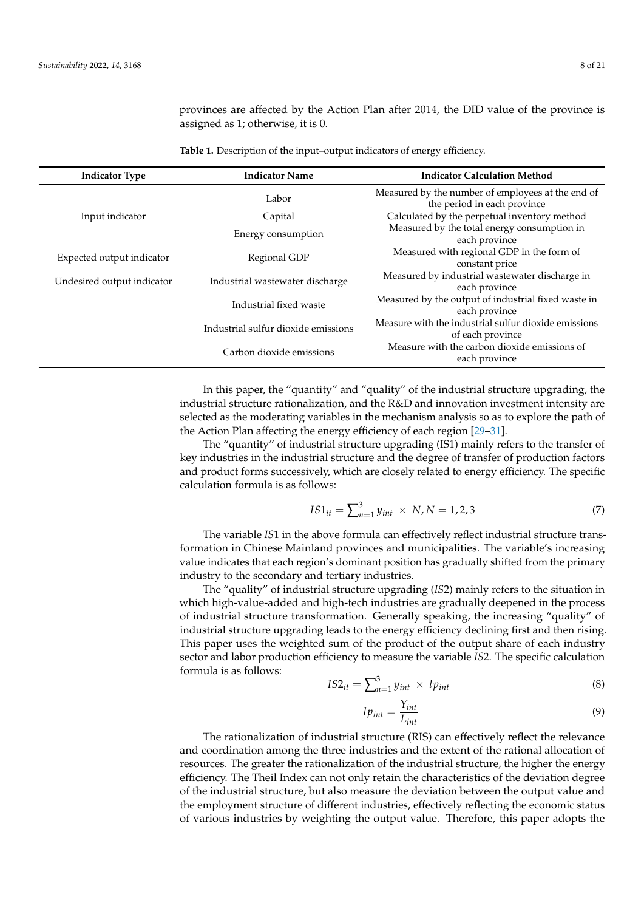provinces are affected by the Action Plan after 2014, the DID value of the province is assigned as 1; otherwise, it is 0.

<span id="page-7-0"></span>**Table 1.** Description of the input–output indicators of energy efficiency.

| <b>Indicator Type</b>      | <b>Indicator Name</b>               | <b>Indicator Calculation Method</b>                                              |  |  |
|----------------------------|-------------------------------------|----------------------------------------------------------------------------------|--|--|
|                            | Labor                               | Measured by the number of employees at the end of<br>the period in each province |  |  |
| Input indicator            | Capital                             | Calculated by the perpetual inventory method                                     |  |  |
|                            | Energy consumption                  | Measured by the total energy consumption in<br>each province                     |  |  |
| Expected output indicator  | Regional GDP                        | Measured with regional GDP in the form of<br>constant price                      |  |  |
| Undesired output indicator | Industrial wastewater discharge     | Measured by industrial wastewater discharge in<br>each province                  |  |  |
|                            | Industrial fixed waste              | Measured by the output of industrial fixed waste in<br>each province             |  |  |
|                            | Industrial sulfur dioxide emissions | Measure with the industrial sulfur dioxide emissions<br>of each province         |  |  |
|                            | Carbon dioxide emissions            | Measure with the carbon dioxide emissions of<br>each province                    |  |  |

In this paper, the "quantity" and "quality" of the industrial structure upgrading, the industrial structure rationalization, and the R&D and innovation investment intensity are selected as the moderating variables in the mechanism analysis so as to explore the path of the Action Plan affecting the energy efficiency of each region [\[29](#page-19-23)[–31\]](#page-19-24).

The "quantity" of industrial structure upgrading (IS1) mainly refers to the transfer of key industries in the industrial structure and the degree of transfer of production factors and product forms successively, which are closely related to energy efficiency. The specific calculation formula is as follows:

$$
IS1_{it} = \sum_{n=1}^{3} y_{int} \times N, N = 1, 2, 3
$$
 (7)

The variable *IS*1 in the above formula can effectively reflect industrial structure transformation in Chinese Mainland provinces and municipalities. The variable's increasing value indicates that each region's dominant position has gradually shifted from the primary industry to the secondary and tertiary industries.

The "quality" of industrial structure upgrading (*IS*2) mainly refers to the situation in which high-value-added and high-tech industries are gradually deepened in the process of industrial structure transformation. Generally speaking, the increasing "quality" of industrial structure upgrading leads to the energy efficiency declining first and then rising. This paper uses the weighted sum of the product of the output share of each industry sector and labor production efficiency to measure the variable *IS*2. The specific calculation formula is as follows:

$$
IS2_{it} = \sum_{n=1}^{3} y_{int} \times lp_{int}
$$
 (8)

$$
lp_{int} = \frac{Y_{int}}{L_{int}}
$$
\n(9)

The rationalization of industrial structure (RIS) can effectively reflect the relevance and coordination among the three industries and the extent of the rational allocation of resources. The greater the rationalization of the industrial structure, the higher the energy efficiency. The Theil Index can not only retain the characteristics of the deviation degree of the industrial structure, but also measure the deviation between the output value and the employment structure of different industries, effectively reflecting the economic status of various industries by weighting the output value. Therefore, this paper adopts the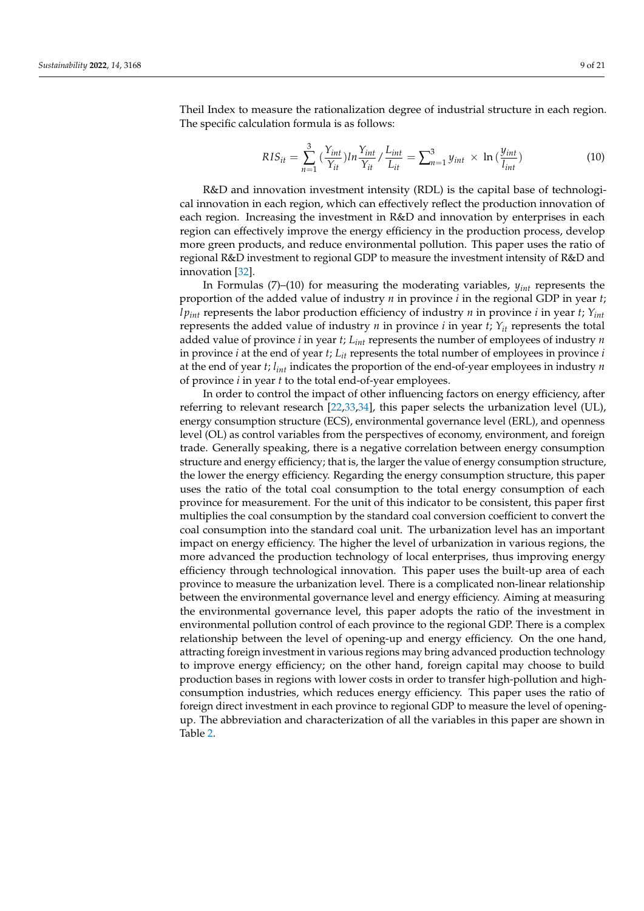Theil Index to measure the rationalization degree of industrial structure in each region. The specific calculation formula is as follows:

$$
RIS_{it} = \sum_{n=1}^{3} \left( \frac{Y_{int}}{Y_{it}} \right) ln \frac{Y_{int}}{Y_{it}} / \frac{L_{int}}{L_{it}} = \sum_{n=1}^{3} y_{int} \times ln \left( \frac{y_{int}}{l_{int}} \right)
$$
(10)

R&D and innovation investment intensity (RDL) is the capital base of technological innovation in each region, which can effectively reflect the production innovation of each region. Increasing the investment in R&D and innovation by enterprises in each region can effectively improve the energy efficiency in the production process, develop more green products, and reduce environmental pollution. This paper uses the ratio of regional R&D investment to regional GDP to measure the investment intensity of R&D and innovation [\[32\]](#page-19-25).

In Formulas (7)–(10) for measuring the moderating variables, *yint* represents the proportion of the added value of industry *n* in province *i* in the regional GDP in year *t*; *l pint* represents the labor production efficiency of industry *n* in province *i* in year *t*; *Yint* represents the added value of industry *n* in province *i* in year *t*;  $Y_{it}$  represents the total added value of province *i* in year *t*; *Lint* represents the number of employees of industry *n* in province *i* at the end of year *t*; *Lit* represents the total number of employees in province *i* at the end of year *t*; *lint* indicates the proportion of the end-of-year employees in industry *n* of province *i* in year *t* to the total end-of-year employees.

In order to control the impact of other influencing factors on energy efficiency, after referring to relevant research [\[22,](#page-19-17)[33,](#page-19-26)[34\]](#page-20-0), this paper selects the urbanization level (UL), energy consumption structure (ECS), environmental governance level (ERL), and openness level (OL) as control variables from the perspectives of economy, environment, and foreign trade. Generally speaking, there is a negative correlation between energy consumption structure and energy efficiency; that is, the larger the value of energy consumption structure, the lower the energy efficiency. Regarding the energy consumption structure, this paper uses the ratio of the total coal consumption to the total energy consumption of each province for measurement. For the unit of this indicator to be consistent, this paper first multiplies the coal consumption by the standard coal conversion coefficient to convert the coal consumption into the standard coal unit. The urbanization level has an important impact on energy efficiency. The higher the level of urbanization in various regions, the more advanced the production technology of local enterprises, thus improving energy efficiency through technological innovation. This paper uses the built-up area of each province to measure the urbanization level. There is a complicated non-linear relationship between the environmental governance level and energy efficiency. Aiming at measuring the environmental governance level, this paper adopts the ratio of the investment in environmental pollution control of each province to the regional GDP. There is a complex relationship between the level of opening-up and energy efficiency. On the one hand, attracting foreign investment in various regions may bring advanced production technology to improve energy efficiency; on the other hand, foreign capital may choose to build production bases in regions with lower costs in order to transfer high-pollution and highconsumption industries, which reduces energy efficiency. This paper uses the ratio of foreign direct investment in each province to regional GDP to measure the level of openingup. The abbreviation and characterization of all the variables in this paper are shown in Table [2.](#page-9-0)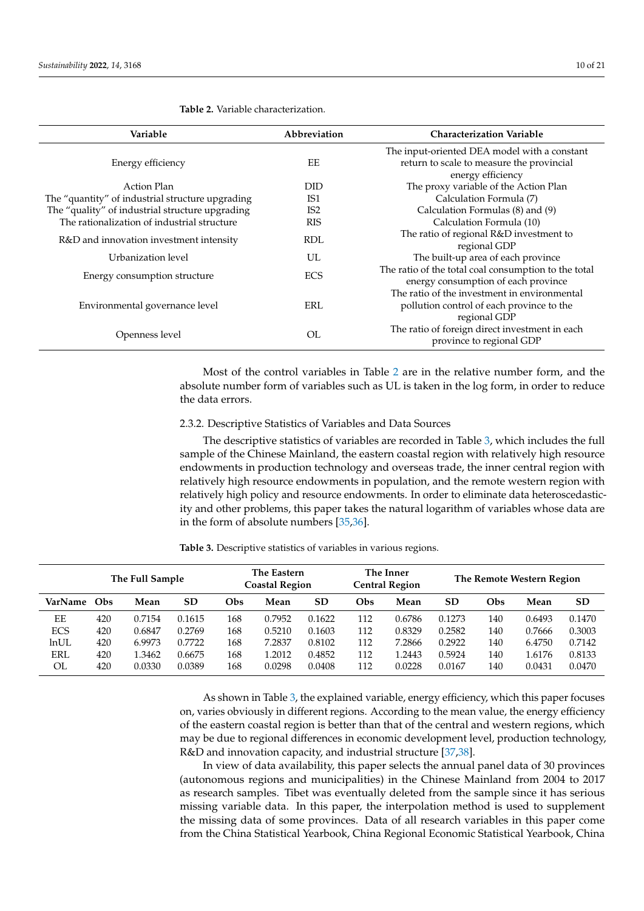| Variable                                         | Abbreviation    | <b>Characterization Variable</b>                                                          |
|--------------------------------------------------|-----------------|-------------------------------------------------------------------------------------------|
| Energy efficiency                                | EΕ              | The input-oriented DEA model with a constant<br>return to scale to measure the provincial |
|                                                  |                 | energy efficiency                                                                         |
| Action Plan                                      | <b>DID</b>      | The proxy variable of the Action Plan                                                     |
| The "quantity" of industrial structure upgrading | IS1             | Calculation Formula (7)                                                                   |
| The "quality" of industrial structure upgrading  | IS <sub>2</sub> | Calculation Formulas (8) and (9)                                                          |
| The rationalization of industrial structure      | <b>RIS</b>      | Calculation Formula (10)                                                                  |
| R&D and innovation investment intensity          | RDL             | The ratio of regional R&D investment to                                                   |
|                                                  |                 | regional GDP                                                                              |
| Urbanization level                               | UL              | The built-up area of each province                                                        |
| Energy consumption structure                     | <b>ECS</b>      | The ratio of the total coal consumption to the total                                      |
|                                                  |                 | energy consumption of each province                                                       |
|                                                  |                 | The ratio of the investment in environmental                                              |
| Environmental governance level                   | ERL             | pollution control of each province to the                                                 |
|                                                  |                 | regional GDP                                                                              |
|                                                  | OL              | The ratio of foreign direct investment in each                                            |
| Openness level                                   |                 | province to regional GDP                                                                  |

<span id="page-9-0"></span>**Table 2.** Variable characterization.

Most of the control variables in Table [2](#page-9-0) are in the relative number form, and the absolute number form of variables such as UL is taken in the log form, in order to reduce the data errors.

#### 2.3.2. Descriptive Statistics of Variables and Data Sources

The descriptive statistics of variables are recorded in Table [3,](#page-9-1) which includes the full sample of the Chinese Mainland, the eastern coastal region with relatively high resource endowments in production technology and overseas trade, the inner central region with relatively high resource endowments in population, and the remote western region with relatively high policy and resource endowments. In order to eliminate data heteroscedasticity and other problems, this paper takes the natural logarithm of variables whose data are in the form of absolute numbers [\[35](#page-20-1)[,36\]](#page-20-2).

<span id="page-9-1"></span>**Table 3.** Descriptive statistics of variables in various regions.

| The Full Sample |     | The Eastern<br><b>Coastal Region</b> |           | The Inner<br><b>Central Region</b> |        | The Remote Western Region |     |        |           |     |        |           |
|-----------------|-----|--------------------------------------|-----------|------------------------------------|--------|---------------------------|-----|--------|-----------|-----|--------|-----------|
| VarName         | Obs | Mean                                 | <b>SD</b> | Obs                                | Mean   | SD                        | Obs | Mean   | <b>SD</b> | Obs | Mean   | <b>SD</b> |
| EE              | 420 | 0.7154                               | 0.1615    | 168                                | 0.7952 | 0.1622                    | 112 | 0.6786 | 0.1273    | 140 | 0.6493 | 0.1470    |
| <b>ECS</b>      | 420 | 0.6847                               | 0.2769    | 168                                | 0.5210 | 0.1603                    | 112 | 0.8329 | 0.2582    | 140 | 0.7666 | 0.3003    |
| ln UL           | 420 | 6.9973                               | 0.7722    | 168                                | 7.2837 | 0.8102                    | 112 | 7.2866 | 0.2922    | 140 | 6.4750 | 0.7142    |
| <b>ERL</b>      | 420 | 1.3462                               | 0.6675    | 168                                | 1.2012 | 0.4852                    | 112 | 1.2443 | 0.5924    | 140 | 1.6176 | 0.8133    |
| OL              | 420 | 0.0330                               | 0.0389    | 168                                | 0.0298 | 0.0408                    | 112 | 0.0228 | 0.0167    | 140 | 0.0431 | 0.0470    |

As shown in Table [3,](#page-9-1) the explained variable, energy efficiency, which this paper focuses on, varies obviously in different regions. According to the mean value, the energy efficiency of the eastern coastal region is better than that of the central and western regions, which may be due to regional differences in economic development level, production technology, R&D and innovation capacity, and industrial structure [\[37](#page-20-3)[,38\]](#page-20-4).

In view of data availability, this paper selects the annual panel data of 30 provinces (autonomous regions and municipalities) in the Chinese Mainland from 2004 to 2017 as research samples. Tibet was eventually deleted from the sample since it has serious missing variable data. In this paper, the interpolation method is used to supplement the missing data of some provinces. Data of all research variables in this paper come from the China Statistical Yearbook, China Regional Economic Statistical Yearbook, China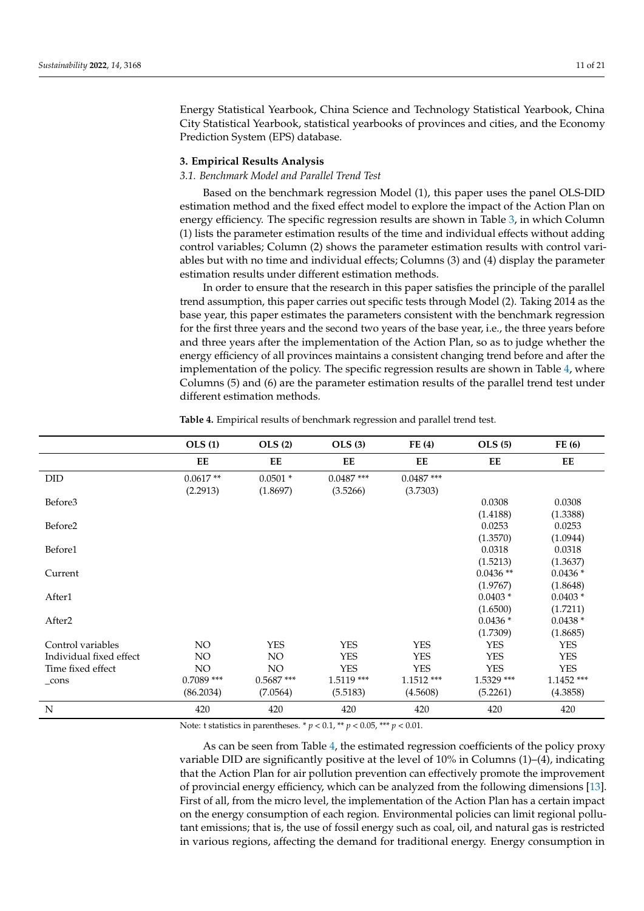Energy Statistical Yearbook, China Science and Technology Statistical Yearbook, China City Statistical Yearbook, statistical yearbooks of provinces and cities, and the Economy Prediction System (EPS) database.

# <span id="page-10-0"></span>**3. Empirical Results Analysis**

# *3.1. Benchmark Model and Parallel Trend Test*

Based on the benchmark regression Model (1), this paper uses the panel OLS-DID estimation method and the fixed effect model to explore the impact of the Action Plan on energy efficiency. The specific regression results are shown in Table [3,](#page-9-1) in which Column (1) lists the parameter estimation results of the time and individual effects without adding control variables; Column (2) shows the parameter estimation results with control variables but with no time and individual effects; Columns (3) and (4) display the parameter estimation results under different estimation methods.

In order to ensure that the research in this paper satisfies the principle of the parallel trend assumption, this paper carries out specific tests through Model (2). Taking 2014 as the base year, this paper estimates the parameters consistent with the benchmark regression for the first three years and the second two years of the base year, i.e., the three years before and three years after the implementation of the Action Plan, so as to judge whether the energy efficiency of all provinces maintains a consistent changing trend before and after the implementation of the policy. The specific regression results are shown in Table [4,](#page-10-1) where Columns (5) and (6) are the parameter estimation results of the parallel trend test under different estimation methods.

|                         | OLS(1)       | OLS(2)       | <b>OLS</b> (3) | FE(4)        | <b>OLS</b> (5) | FE(6)        |
|-------------------------|--------------|--------------|----------------|--------------|----------------|--------------|
|                         | EE           | EE           | EE             | EE           | EE             | EE           |
| <b>DID</b>              | $0.0617**$   | $0.0501*$    | $0.0487$ ***   | $0.0487$ *** |                |              |
|                         | (2.2913)     | (1.8697)     | (3.5266)       | (3.7303)     |                |              |
| Before3                 |              |              |                |              | 0.0308         | 0.0308       |
|                         |              |              |                |              | (1.4188)       | (1.3388)     |
| Before <sub>2</sub>     |              |              |                |              | 0.0253         | 0.0253       |
|                         |              |              |                |              | (1.3570)       | (1.0944)     |
| Before1                 |              |              |                |              | 0.0318         | 0.0318       |
|                         |              |              |                |              | (1.5213)       | (1.3637)     |
| Current                 |              |              |                |              | $0.0436**$     | $0.0436*$    |
|                         |              |              |                |              | (1.9767)       | (1.8648)     |
| After1                  |              |              |                |              | $0.0403*$      | $0.0403*$    |
|                         |              |              |                |              | (1.6500)       | (1.7211)     |
| After <sub>2</sub>      |              |              |                |              | $0.0436*$      | $0.0438*$    |
|                         |              |              |                |              | (1.7309)       | (1.8685)     |
| Control variables       | NO.          | <b>YES</b>   | <b>YES</b>     | <b>YES</b>   | <b>YES</b>     | <b>YES</b>   |
| Individual fixed effect | NO.          | NO.          | <b>YES</b>     | <b>YES</b>   | <b>YES</b>     | <b>YES</b>   |
| Time fixed effect       | NO           | NO           | <b>YES</b>     | <b>YES</b>   | <b>YES</b>     | <b>YES</b>   |
| $_{cons}$               | $0.7089$ *** | $0.5687$ *** | 1.5119 ***     | $1.1512$ *** | 1.5329 ***     | $1.1452$ *** |
|                         | (86.2034)    | (7.0564)     | (5.5183)       | (4.5608)     | (5.2261)       | (4.3858)     |
| N                       | 420          | 420          | 420            | 420          | 420            | 420          |

<span id="page-10-1"></span>**Table 4.** Empirical results of benchmark regression and parallel trend test.

Note: t statistics in parentheses. \* *p* < 0.1, \*\* *p* < 0.05, \*\*\* *p* < 0.01.

As can be seen from Table [4,](#page-10-1) the estimated regression coefficients of the policy proxy variable DID are significantly positive at the level of 10% in Columns (1)–(4), indicating that the Action Plan for air pollution prevention can effectively promote the improvement of provincial energy efficiency, which can be analyzed from the following dimensions [\[13\]](#page-19-8). First of all, from the micro level, the implementation of the Action Plan has a certain impact on the energy consumption of each region. Environmental policies can limit regional pollutant emissions; that is, the use of fossil energy such as coal, oil, and natural gas is restricted in various regions, affecting the demand for traditional energy. Energy consumption in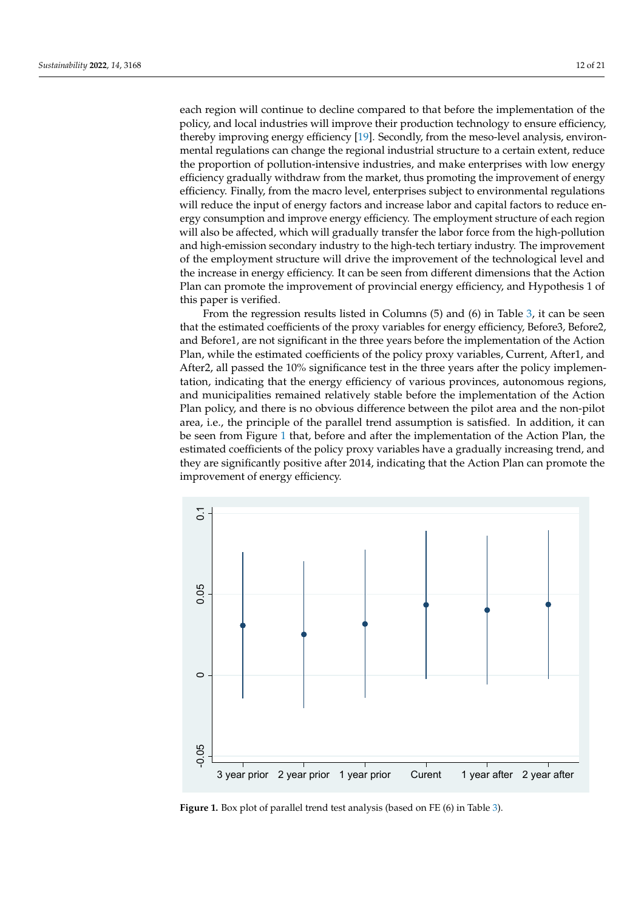each region will continue to decline compared to that before the implementation of the policy, and local industries will improve their production technology to ensure efficiency, thereby improving energy efficiency [\[19\]](#page-19-14). Secondly, from the meso-level analysis, environmental regulations can change the regional industrial structure to a certain extent, reduce the proportion of pollution-intensive industries, and make enterprises with low energy efficiency gradually withdraw from the market, thus promoting the improvement of energy efficiency. Finally, from the macro level, enterprises subject to environmental regulations will reduce the input of energy factors and increase labor and capital factors to reduce energy consumption and improve energy efficiency. The employment structure of each region will also be affected, which will gradually transfer the labor force from the high-pollution and high-emission secondary industry to the high-tech tertiary industry. The improvement of the employment structure will drive the improvement of the technological level and the increase in energy efficiency. It can be seen from different dimensions that the Action Plan can promote the improvement of provincial energy efficiency, and Hypothesis 1 of this paper is verified.

From the regression results listed in Columns (5) and (6) in Table [3,](#page-9-1) it can be seen that the estimated coefficients of the proxy variables for energy efficiency, Before3, Before2, and Before1, are not significant in the three years before the implementation of the Action Plan, while the estimated coefficients of the policy proxy variables, Current, After1, and After2, all passed the 10% significance test in the three years after the policy implementation, indicating that the energy efficiency of various provinces, autonomous regions, and municipalities remained relatively stable before the implementation of the Action Plan policy, and there is no obvious difference between the pilot area and the non-pilot area, i.e., the principle of the parallel trend assumption is satisfied. In addition, it can be seen from Figure [1](#page-11-0) that, before and after the implementation of the Action Plan, the estimated coefficients of the policy proxy variables have a gradually increasing trend, and they are significantly positive after 2014, indicating that the Action Plan can promote the improvement of energy efficiency. ment of energy efficiency.

<span id="page-11-0"></span>

**Figure 1.** Box plot of parallel trend test analysis (based on [FE](#page-9-1) (6) in Table 3). **Figure 1.** Box plot of parallel trend test analysis (based on FE (6) in Table 3).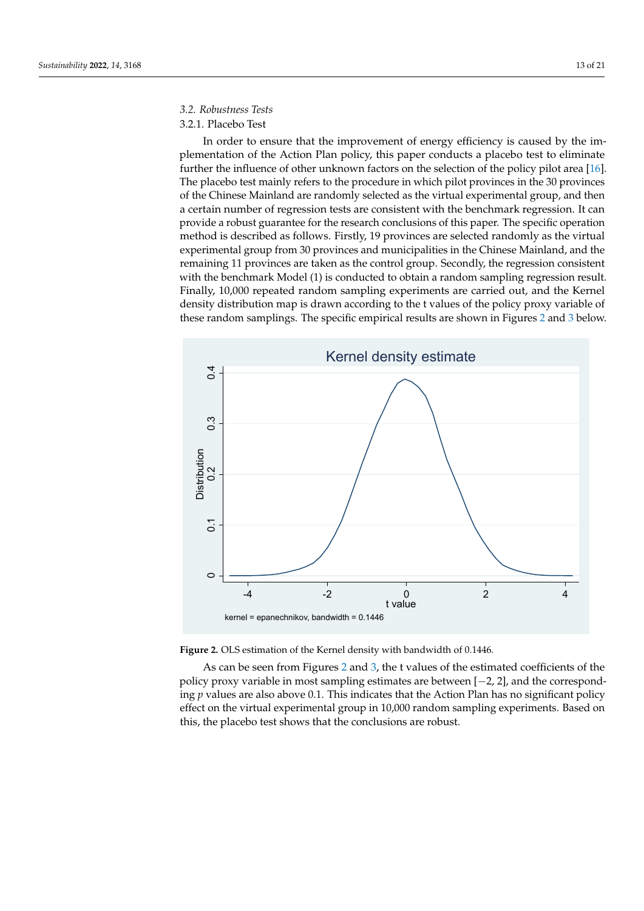# *3.2. Robustness Tests*

# 3.2.1. Placebo Test

In order to ensure that the improvement of energy efficiency is caused by the implementation of the Action Plan policy, this paper conducts a placebo test to eliminate further the influence of other unknown factors on the selection of the policy pilot area [\[16\]](#page-19-11). The placebo test mainly refers to the procedure in which pilot provinces in the 30 provinces of the Chinese Mainland are randomly selected as the virtual experimental group, and then a certain number of regression tests are consistent with the benchmark regression. It can provide a robust guarantee for the research conclusions of this paper. The specific operation method is described as follows. Firstly, 19 provinces are selected randomly as the virtual experimental group from 30 provinces and municipalities in the Chinese Mainland, and the remaining 11 provinces are taken as the control group. Secondly, the regression consistent with the benchmark Model (1) is conducted to obtain a random sampling regression result. Finally, 10,000 repeated random sampling experiments are carried out, and the Kernel density distribution map is drawn according to the t values of the policy proxy variable of these random samplings. The specific empirical results are shown in Figures [2](#page-12-0) and [3](#page-13-0) below.

<span id="page-12-0"></span>



va<br>01<br>he policy proxy variable in most sampling estimates are between [−2, 2], and the correspond-As can be seen from Figures [2](#page-12-0) and [3,](#page-13-0) the t values of the estimated coefficients of the ing *p* values are also above 0.1. This indicates that the Action Plan has no significant policy effect on the virtual experimental group in 10,000 random sampling experiments. Based on this, the placebo test shows that the conclusions are robust.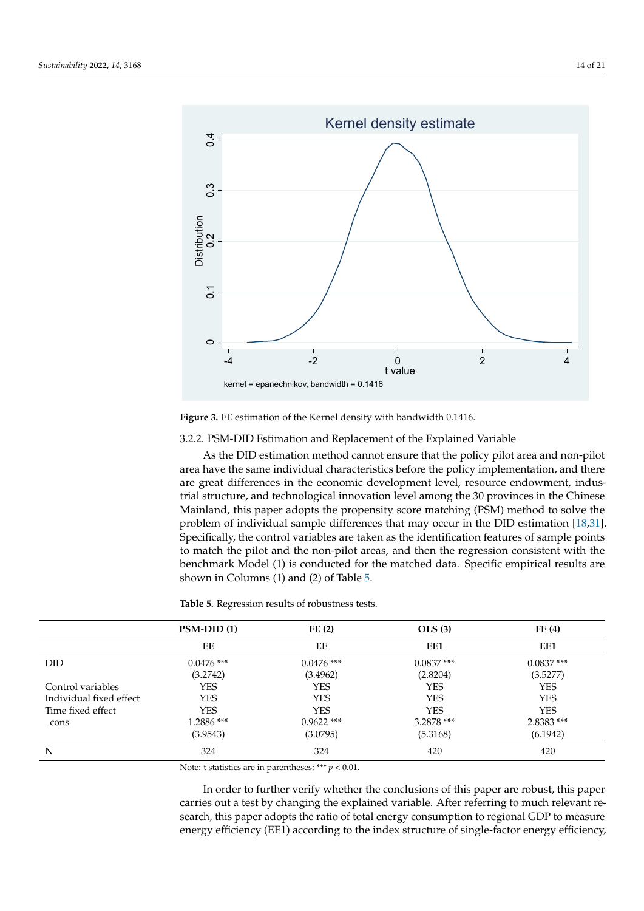<span id="page-13-0"></span>

**Figure 3.** FE estimation of the Kernel density with bandwidth 0.1416. **Figure 3.** FE estimation of the Kernel density with bandwidth 0.1416.

# 3.2.2. PSM-DID Estimation and Replacement of the Explained Variable

As the DID estimation method cannot ensure that the policy pilot area and non-pilot area have the same individual characteristics before the policy implementation, and there are great differences in the economic development level, resource endowment, industrial structure, and technological innovation level among the 30 provinces in the Chinese Mainland, this paper adopts the propensity score matching (PSM) method to solve the problem of individual sample differences that may occur in the DID estimation [\[18,](#page-19-13)[31\]](#page-19-24). Specifically, the control variables are taken as the identification features of sample points to match the pilot and the non-pilot areas, and then the regression consistent with the benchmark Model (1) is conducted for the matched data. Specific empirical results are shown in Columns (1) and (2) of Table [5.](#page-13-1)

<span id="page-13-1"></span>**Table 5.** Regression results of robustness tests.

|                         | $PSM-DID(1)$ | FE(2)        | OLS(3)       | FE(4)        |
|-------------------------|--------------|--------------|--------------|--------------|
|                         | EE           | EЕ           | EE1          | EE1          |
| DID.                    | $0.0476$ *** | $0.0476$ *** | $0.0837$ *** | $0.0837$ *** |
|                         | (3.2742)     | (3.4962)     | (2.8204)     | (3.5277)     |
| Control variables       | YES          | YES          | <b>YES</b>   | <b>YES</b>   |
| Individual fixed effect | <b>YES</b>   | <b>YES</b>   | <b>YES</b>   | <b>YES</b>   |
| Time fixed effect       | <b>YES</b>   | <b>YES</b>   | <b>YES</b>   | <b>YES</b>   |
| $_{\rm cons}$           | 1.2886 ***   | $0.9622$ *** | 3.2878 ***   | 2.8383 ***   |
|                         | (3.9543)     | (3.0795)     | (5.3168)     | (6.1942)     |
| N                       | 324          | 324          | 420          | 420          |

Note: t statistics are in parentheses; \*\*\* *p* < 0.01.

In order to further verify whether the conclusions of this paper are robust, this paper carries out a test by changing the explained variable. After referring to much relevant research, this paper adopts the ratio of total energy consumption to regional GDP to measure energy efficiency (EE1) according to the index structure of single-factor energy efficiency,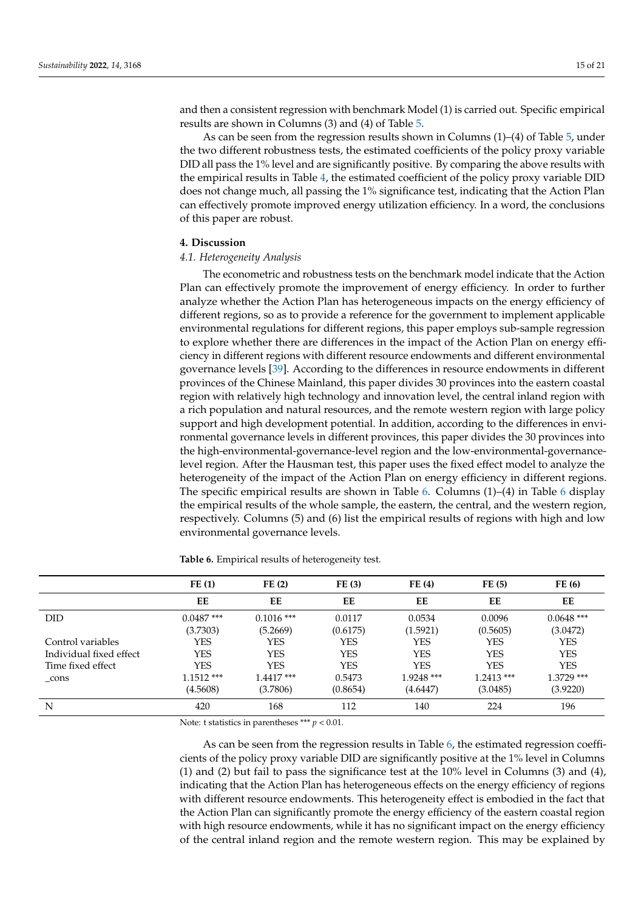and then a consistent regression with benchmark Model (1) is carried out. Specific empirical results are shown in Columns (3) and (4) of Table [5.](#page-13-1)

As can be seen from the regression results shown in Columns (1)–(4) of Table [5,](#page-13-1) under the two different robustness tests, the estimated coefficients of the policy proxy variable DID all pass the 1% level and are significantly positive. By comparing the above results with the empirical results in Table [4,](#page-10-1) the estimated coefficient of the policy proxy variable DID does not change much, all passing the 1% significance test, indicating that the Action Plan can effectively promote improved energy utilization efficiency. In a word, the conclusions of this paper are robust.

### <span id="page-14-0"></span>**4. Discussion**

#### *4.1. Heterogeneity Analysis*

The econometric and robustness tests on the benchmark model indicate that the Action Plan can effectively promote the improvement of energy efficiency. In order to further analyze whether the Action Plan has heterogeneous impacts on the energy efficiency of different regions, so as to provide a reference for the government to implement applicable environmental regulations for different regions, this paper employs sub-sample regression to explore whether there are differences in the impact of the Action Plan on energy efficiency in different regions with different resource endowments and different environmental governance levels [\[39\]](#page-20-5). According to the differences in resource endowments in different provinces of the Chinese Mainland, this paper divides 30 provinces into the eastern coastal region with relatively high technology and innovation level, the central inland region with a rich population and natural resources, and the remote western region with large policy support and high development potential. In addition, according to the differences in environmental governance levels in different provinces, this paper divides the 30 provinces into the high-environmental-governance-level region and the low-environmental-governancelevel region. After the Hausman test, this paper uses the fixed effect model to analyze the heterogeneity of the impact of the Action Plan on energy efficiency in different regions. The specific empirical results are shown in Table [6.](#page-14-1) Columns (1)–(4) in Table [6](#page-14-1) display the empirical results of the whole sample, the eastern, the central, and the western region, respectively. Columns (5) and (6) list the empirical results of regions with high and low environmental governance levels.

|                         | FE(1)        | FE(2)        | FE(3)      | FE(4)        | FE(5)        | FE(6)        |
|-------------------------|--------------|--------------|------------|--------------|--------------|--------------|
|                         | EE           | EE           | EE         | EE           | EE           | EE           |
| <b>DID</b>              | $0.0487$ *** | $0.1016$ *** | 0.0117     | 0.0534       | 0.0096       | $0.0648$ *** |
|                         | (3.7303)     | (5.2669)     | (0.6175)   | (1.5921)     | (0.5605)     | (3.0472)     |
| Control variables       | YES          | YES          | <b>YES</b> | YES          | YES          | <b>YES</b>   |
| Individual fixed effect | <b>YES</b>   | YES          | <b>YES</b> | <b>YES</b>   | <b>YES</b>   | <b>YES</b>   |
| Time fixed effect       | <b>YES</b>   | YES          | <b>YES</b> | <b>YES</b>   | <b>YES</b>   | <b>YES</b>   |
| _cons                   | $1.1512***$  | $1.4417***$  | 0.5473     | $1.9248$ *** | $1.2413$ *** | 1.3729 ***   |
|                         | (4.5608)     | (3.7806)     | (0.8654)   | (4.6447)     | (3.0485)     | (3.9220)     |
| N                       | 420          | 168          | 112        | 140          | 224          | 196          |

<span id="page-14-1"></span>**Table 6.** Empirical results of heterogeneity test.

Note: t statistics in parentheses \*\*\* *p* < 0.01.

As can be seen from the regression results in Table [6,](#page-14-1) the estimated regression coefficients of the policy proxy variable DID are significantly positive at the 1% level in Columns (1) and (2) but fail to pass the significance test at the 10% level in Columns (3) and (4), indicating that the Action Plan has heterogeneous effects on the energy efficiency of regions with different resource endowments. This heterogeneity effect is embodied in the fact that the Action Plan can significantly promote the energy efficiency of the eastern coastal region with high resource endowments, while it has no significant impact on the energy efficiency of the central inland region and the remote western region. This may be explained by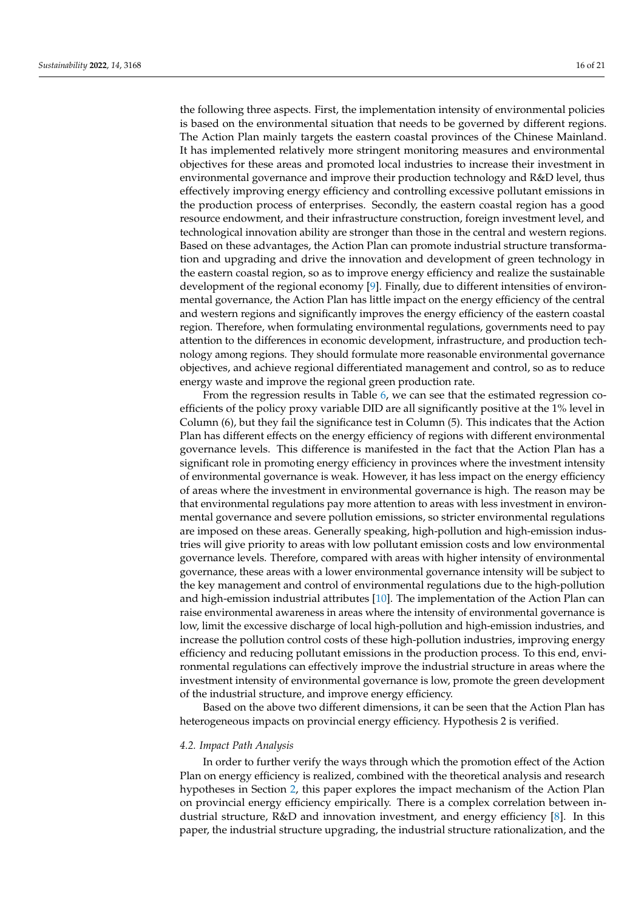the following three aspects. First, the implementation intensity of environmental policies is based on the environmental situation that needs to be governed by different regions. The Action Plan mainly targets the eastern coastal provinces of the Chinese Mainland. It has implemented relatively more stringent monitoring measures and environmental objectives for these areas and promoted local industries to increase their investment in environmental governance and improve their production technology and R&D level, thus effectively improving energy efficiency and controlling excessive pollutant emissions in the production process of enterprises. Secondly, the eastern coastal region has a good resource endowment, and their infrastructure construction, foreign investment level, and technological innovation ability are stronger than those in the central and western regions. Based on these advantages, the Action Plan can promote industrial structure transformation and upgrading and drive the innovation and development of green technology in the eastern coastal region, so as to improve energy efficiency and realize the sustainable development of the regional economy [\[9\]](#page-19-4). Finally, due to different intensities of environmental governance, the Action Plan has little impact on the energy efficiency of the central and western regions and significantly improves the energy efficiency of the eastern coastal region. Therefore, when formulating environmental regulations, governments need to pay attention to the differences in economic development, infrastructure, and production technology among regions. They should formulate more reasonable environmental governance objectives, and achieve regional differentiated management and control, so as to reduce energy waste and improve the regional green production rate.

From the regression results in Table [6,](#page-14-1) we can see that the estimated regression coefficients of the policy proxy variable DID are all significantly positive at the 1% level in Column (6), but they fail the significance test in Column (5). This indicates that the Action Plan has different effects on the energy efficiency of regions with different environmental governance levels. This difference is manifested in the fact that the Action Plan has a significant role in promoting energy efficiency in provinces where the investment intensity of environmental governance is weak. However, it has less impact on the energy efficiency of areas where the investment in environmental governance is high. The reason may be that environmental regulations pay more attention to areas with less investment in environmental governance and severe pollution emissions, so stricter environmental regulations are imposed on these areas. Generally speaking, high-pollution and high-emission industries will give priority to areas with low pollutant emission costs and low environmental governance levels. Therefore, compared with areas with higher intensity of environmental governance, these areas with a lower environmental governance intensity will be subject to the key management and control of environmental regulations due to the high-pollution and high-emission industrial attributes [\[10\]](#page-19-5). The implementation of the Action Plan can raise environmental awareness in areas where the intensity of environmental governance is low, limit the excessive discharge of local high-pollution and high-emission industries, and increase the pollution control costs of these high-pollution industries, improving energy efficiency and reducing pollutant emissions in the production process. To this end, environmental regulations can effectively improve the industrial structure in areas where the investment intensity of environmental governance is low, promote the green development of the industrial structure, and improve energy efficiency.

Based on the above two different dimensions, it can be seen that the Action Plan has heterogeneous impacts on provincial energy efficiency. Hypothesis 2 is verified.

#### *4.2. Impact Path Analysis*

In order to further verify the ways through which the promotion effect of the Action Plan on energy efficiency is realized, combined with the theoretical analysis and research hypotheses in Section [2,](#page-3-0) this paper explores the impact mechanism of the Action Plan on provincial energy efficiency empirically. There is a complex correlation between industrial structure, R&D and innovation investment, and energy efficiency [\[8\]](#page-19-3). In this paper, the industrial structure upgrading, the industrial structure rationalization, and the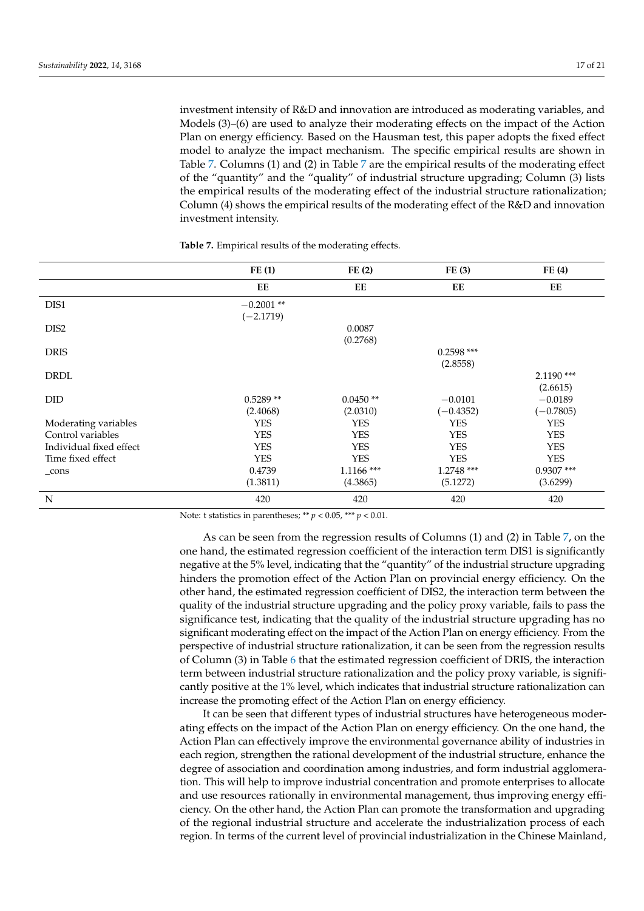investment intensity of R&D and innovation are introduced as moderating variables, and Models (3)–(6) are used to analyze their moderating effects on the impact of the Action Plan on energy efficiency. Based on the Hausman test, this paper adopts the fixed effect model to analyze the impact mechanism. The specific empirical results are shown in Table [7.](#page-16-0) Columns (1) and (2) in Table [7](#page-16-0) are the empirical results of the moderating effect of the "quantity" and the "quality" of industrial structure upgrading; Column (3) lists the empirical results of the moderating effect of the industrial structure rationalization; Column (4) shows the empirical results of the moderating effect of the R&D and innovation investment intensity.

|                         | FE(1)        | FE(2)        | FE(3)        | FE(4)        |
|-------------------------|--------------|--------------|--------------|--------------|
|                         | EE           | EE           | EE           | EE           |
| DIS1                    | $-0.2001$ ** |              |              |              |
|                         | $(-2.1719)$  |              |              |              |
| DIS2                    |              | 0.0087       |              |              |
|                         |              | (0.2768)     |              |              |
| <b>DRIS</b>             |              |              | $0.2598$ *** |              |
|                         |              |              | (2.8558)     |              |
| <b>DRDL</b>             |              |              |              | $2.1190$ *** |
|                         |              |              |              | (2.6615)     |
| <b>DID</b>              | $0.5289**$   | $0.0450**$   | $-0.0101$    | $-0.0189$    |
|                         | (2.4068)     | (2.0310)     | $(-0.4352)$  | $(-0.7805)$  |
| Moderating variables    | <b>YES</b>   | <b>YES</b>   | <b>YES</b>   | <b>YES</b>   |
| Control variables       | <b>YES</b>   | <b>YES</b>   | <b>YES</b>   | <b>YES</b>   |
| Individual fixed effect | <b>YES</b>   | <b>YES</b>   | <b>YES</b>   | <b>YES</b>   |
| Time fixed effect       | <b>YES</b>   | <b>YES</b>   | <b>YES</b>   | <b>YES</b>   |
| $_{\rm cons}$           | 0.4739       | $1.1166$ *** | 1.2748 ***   | $0.9307$ *** |
|                         | (1.3811)     | (4.3865)     | (5.1272)     | (3.6299)     |
| N                       | 420          | 420          | 420          | 420          |

<span id="page-16-0"></span>**Table 7.** Empirical results of the moderating effects.

Note: t statistics in parentheses; \*\* *p* < 0.05, \*\*\* *p* < 0.01.

As can be seen from the regression results of Columns (1) and (2) in Table [7,](#page-16-0) on the one hand, the estimated regression coefficient of the interaction term DIS1 is significantly negative at the 5% level, indicating that the "quantity" of the industrial structure upgrading hinders the promotion effect of the Action Plan on provincial energy efficiency. On the other hand, the estimated regression coefficient of DIS2, the interaction term between the quality of the industrial structure upgrading and the policy proxy variable, fails to pass the significance test, indicating that the quality of the industrial structure upgrading has no significant moderating effect on the impact of the Action Plan on energy efficiency. From the perspective of industrial structure rationalization, it can be seen from the regression results of Column (3) in Table [6](#page-14-1) that the estimated regression coefficient of DRIS, the interaction term between industrial structure rationalization and the policy proxy variable, is significantly positive at the 1% level, which indicates that industrial structure rationalization can increase the promoting effect of the Action Plan on energy efficiency.

It can be seen that different types of industrial structures have heterogeneous moderating effects on the impact of the Action Plan on energy efficiency. On the one hand, the Action Plan can effectively improve the environmental governance ability of industries in each region, strengthen the rational development of the industrial structure, enhance the degree of association and coordination among industries, and form industrial agglomeration. This will help to improve industrial concentration and promote enterprises to allocate and use resources rationally in environmental management, thus improving energy efficiency. On the other hand, the Action Plan can promote the transformation and upgrading of the regional industrial structure and accelerate the industrialization process of each region. In terms of the current level of provincial industrialization in the Chinese Mainland,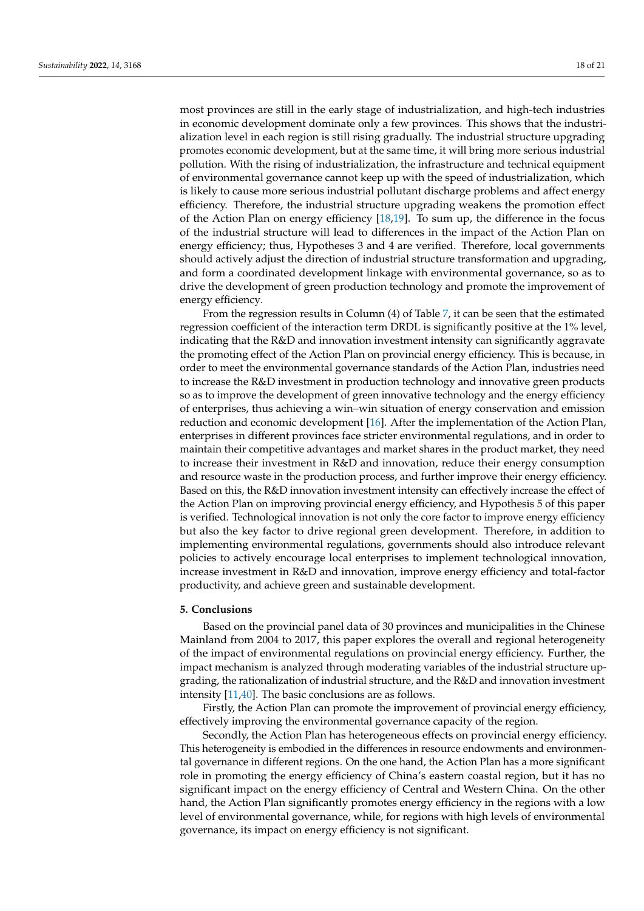most provinces are still in the early stage of industrialization, and high-tech industries in economic development dominate only a few provinces. This shows that the industrialization level in each region is still rising gradually. The industrial structure upgrading promotes economic development, but at the same time, it will bring more serious industrial pollution. With the rising of industrialization, the infrastructure and technical equipment of environmental governance cannot keep up with the speed of industrialization, which is likely to cause more serious industrial pollutant discharge problems and affect energy efficiency. Therefore, the industrial structure upgrading weakens the promotion effect of the Action Plan on energy efficiency [\[18,](#page-19-13)[19\]](#page-19-14). To sum up, the difference in the focus of the industrial structure will lead to differences in the impact of the Action Plan on energy efficiency; thus, Hypotheses 3 and 4 are verified. Therefore, local governments should actively adjust the direction of industrial structure transformation and upgrading, and form a coordinated development linkage with environmental governance, so as to drive the development of green production technology and promote the improvement of energy efficiency.

From the regression results in Column (4) of Table [7,](#page-16-0) it can be seen that the estimated regression coefficient of the interaction term DRDL is significantly positive at the 1% level, indicating that the R&D and innovation investment intensity can significantly aggravate the promoting effect of the Action Plan on provincial energy efficiency. This is because, in order to meet the environmental governance standards of the Action Plan, industries need to increase the R&D investment in production technology and innovative green products so as to improve the development of green innovative technology and the energy efficiency of enterprises, thus achieving a win–win situation of energy conservation and emission reduction and economic development [\[16\]](#page-19-11). After the implementation of the Action Plan, enterprises in different provinces face stricter environmental regulations, and in order to maintain their competitive advantages and market shares in the product market, they need to increase their investment in R&D and innovation, reduce their energy consumption and resource waste in the production process, and further improve their energy efficiency. Based on this, the R&D innovation investment intensity can effectively increase the effect of the Action Plan on improving provincial energy efficiency, and Hypothesis 5 of this paper is verified. Technological innovation is not only the core factor to improve energy efficiency but also the key factor to drive regional green development. Therefore, in addition to implementing environmental regulations, governments should also introduce relevant policies to actively encourage local enterprises to implement technological innovation, increase investment in R&D and innovation, improve energy efficiency and total-factor productivity, and achieve green and sustainable development.

#### <span id="page-17-0"></span>**5. Conclusions**

Based on the provincial panel data of 30 provinces and municipalities in the Chinese Mainland from 2004 to 2017, this paper explores the overall and regional heterogeneity of the impact of environmental regulations on provincial energy efficiency. Further, the impact mechanism is analyzed through moderating variables of the industrial structure upgrading, the rationalization of industrial structure, and the R&D and innovation investment intensity [\[11,](#page-19-6)[40\]](#page-20-6). The basic conclusions are as follows.

Firstly, the Action Plan can promote the improvement of provincial energy efficiency, effectively improving the environmental governance capacity of the region.

Secondly, the Action Plan has heterogeneous effects on provincial energy efficiency. This heterogeneity is embodied in the differences in resource endowments and environmental governance in different regions. On the one hand, the Action Plan has a more significant role in promoting the energy efficiency of China's eastern coastal region, but it has no significant impact on the energy efficiency of Central and Western China. On the other hand, the Action Plan significantly promotes energy efficiency in the regions with a low level of environmental governance, while, for regions with high levels of environmental governance, its impact on energy efficiency is not significant.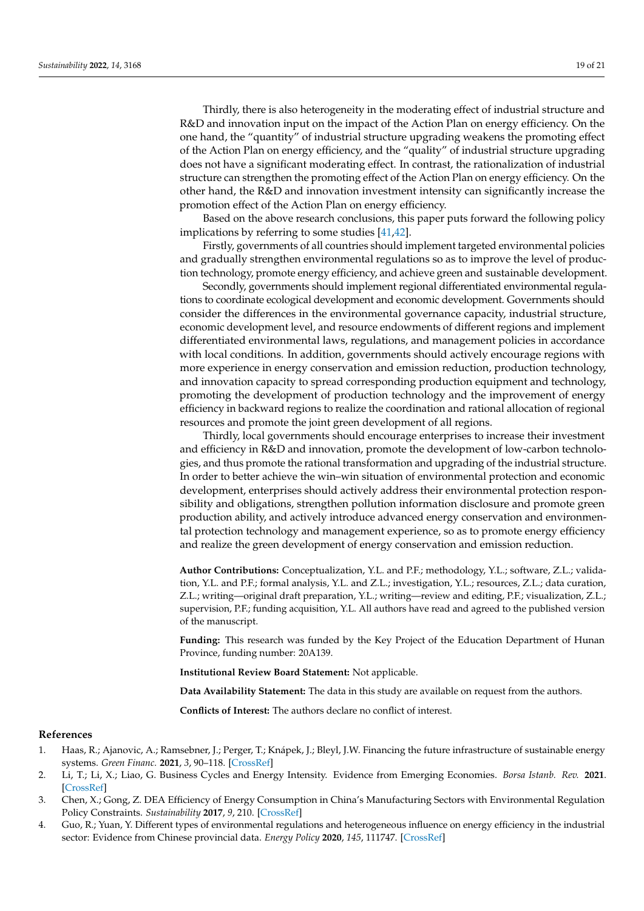Thirdly, there is also heterogeneity in the moderating effect of industrial structure and R&D and innovation input on the impact of the Action Plan on energy efficiency. On the one hand, the "quantity" of industrial structure upgrading weakens the promoting effect of the Action Plan on energy efficiency, and the "quality" of industrial structure upgrading does not have a significant moderating effect. In contrast, the rationalization of industrial structure can strengthen the promoting effect of the Action Plan on energy efficiency. On the other hand, the R&D and innovation investment intensity can significantly increase the promotion effect of the Action Plan on energy efficiency.

Based on the above research conclusions, this paper puts forward the following policy implications by referring to some studies [\[41](#page-20-7)[,42\]](#page-20-8).

Firstly, governments of all countries should implement targeted environmental policies and gradually strengthen environmental regulations so as to improve the level of production technology, promote energy efficiency, and achieve green and sustainable development.

Secondly, governments should implement regional differentiated environmental regulations to coordinate ecological development and economic development. Governments should consider the differences in the environmental governance capacity, industrial structure, economic development level, and resource endowments of different regions and implement differentiated environmental laws, regulations, and management policies in accordance with local conditions. In addition, governments should actively encourage regions with more experience in energy conservation and emission reduction, production technology, and innovation capacity to spread corresponding production equipment and technology, promoting the development of production technology and the improvement of energy efficiency in backward regions to realize the coordination and rational allocation of regional resources and promote the joint green development of all regions.

Thirdly, local governments should encourage enterprises to increase their investment and efficiency in R&D and innovation, promote the development of low-carbon technologies, and thus promote the rational transformation and upgrading of the industrial structure. In order to better achieve the win–win situation of environmental protection and economic development, enterprises should actively address their environmental protection responsibility and obligations, strengthen pollution information disclosure and promote green production ability, and actively introduce advanced energy conservation and environmental protection technology and management experience, so as to promote energy efficiency and realize the green development of energy conservation and emission reduction.

**Author Contributions:** Conceptualization, Y.L. and P.F.; methodology, Y.L.; software, Z.L.; validation, Y.L. and P.F.; formal analysis, Y.L. and Z.L.; investigation, Y.L.; resources, Z.L.; data curation, Z.L.; writing—original draft preparation, Y.L.; writing—review and editing, P.F.; visualization, Z.L.; supervision, P.F.; funding acquisition, Y.L. All authors have read and agreed to the published version of the manuscript.

**Funding:** This research was funded by the Key Project of the Education Department of Hunan Province, funding number: 20A139.

**Institutional Review Board Statement:** Not applicable.

**Data Availability Statement:** The data in this study are available on request from the authors.

**Conflicts of Interest:** The authors declare no conflict of interest.

#### **References**

- <span id="page-18-0"></span>1. Haas, R.; Ajanovic, A.; Ramsebner, J.; Perger, T.; Knápek, J.; Bleyl, J.W. Financing the future infrastructure of sustainable energy systems. *Green Financ.* **2021**, *3*, 90–118. [\[CrossRef\]](http://doi.org/10.3934/GF.2021006)
- <span id="page-18-1"></span>2. Li, T.; Li, X.; Liao, G. Business Cycles and Energy Intensity. Evidence from Emerging Economies. *Borsa Istanb. Rev.* **2021**. [\[CrossRef\]](http://doi.org/10.1016/j.bir.2021.07.005)
- <span id="page-18-2"></span>3. Chen, X.; Gong, Z. DEA Efficiency of Energy Consumption in China's Manufacturing Sectors with Environmental Regulation Policy Constraints. *Sustainability* **2017**, *9*, 210. [\[CrossRef\]](http://doi.org/10.3390/su9020210)
- <span id="page-18-3"></span>4. Guo, R.; Yuan, Y. Different types of environmental regulations and heterogeneous influence on energy efficiency in the industrial sector: Evidence from Chinese provincial data. *Energy Policy* **2020**, *145*, 111747. [\[CrossRef\]](http://doi.org/10.1016/j.enpol.2020.111747)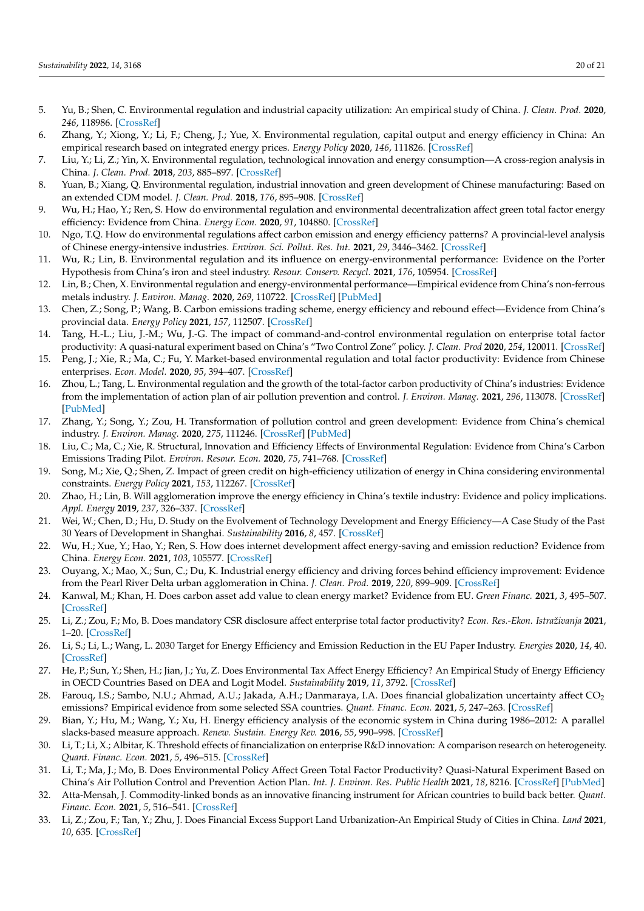- <span id="page-19-0"></span>5. Yu, B.; Shen, C. Environmental regulation and industrial capacity utilization: An empirical study of China. *J. Clean. Prod.* **2020**, *246*, 118986. [\[CrossRef\]](http://doi.org/10.1016/j.jclepro.2019.118986)
- <span id="page-19-1"></span>6. Zhang, Y.; Xiong, Y.; Li, F.; Cheng, J.; Yue, X. Environmental regulation, capital output and energy efficiency in China: An empirical research based on integrated energy prices. *Energy Policy* **2020**, *146*, 111826. [\[CrossRef\]](http://doi.org/10.1016/j.enpol.2020.111826)
- <span id="page-19-2"></span>7. Liu, Y.; Li, Z.; Yin, X. Environmental regulation, technological innovation and energy consumption—A cross-region analysis in China. *J. Clean. Prod.* **2018**, *203*, 885–897. [\[CrossRef\]](http://doi.org/10.1016/j.jclepro.2018.08.277)
- <span id="page-19-3"></span>8. Yuan, B.; Xiang, Q. Environmental regulation, industrial innovation and green development of Chinese manufacturing: Based on an extended CDM model. *J. Clean. Prod.* **2018**, *176*, 895–908. [\[CrossRef\]](http://doi.org/10.1016/j.jclepro.2017.12.034)
- <span id="page-19-4"></span>9. Wu, H.; Hao, Y.; Ren, S. How do environmental regulation and environmental decentralization affect green total factor energy efficiency: Evidence from China. *Energy Econ.* **2020**, *91*, 104880. [\[CrossRef\]](http://doi.org/10.1016/j.eneco.2020.104880)
- <span id="page-19-5"></span>10. Ngo, T.Q. How do environmental regulations affect carbon emission and energy efficiency patterns? A provincial-level analysis of Chinese energy-intensive industries. *Environ. Sci. Pollut. Res. Int.* **2021**, *29*, 3446–3462. [\[CrossRef\]](http://doi.org/10.1007/s11356-021-15843-w)
- <span id="page-19-6"></span>11. Wu, R.; Lin, B. Environmental regulation and its influence on energy-environmental performance: Evidence on the Porter Hypothesis from China's iron and steel industry. *Resour. Conserv. Recycl.* **2021**, *176*, 105954. [\[CrossRef\]](http://doi.org/10.1016/j.resconrec.2021.105954)
- <span id="page-19-7"></span>12. Lin, B.; Chen, X. Environmental regulation and energy-environmental performance—Empirical evidence from China's non-ferrous metals industry. *J. Environ. Manag.* **2020**, *269*, 110722. [\[CrossRef\]](http://doi.org/10.1016/j.jenvman.2020.110722) [\[PubMed\]](http://www.ncbi.nlm.nih.gov/pubmed/32430281)
- <span id="page-19-8"></span>13. Chen, Z.; Song, P.; Wang, B. Carbon emissions trading scheme, energy efficiency and rebound effect—Evidence from China's provincial data. *Energy Policy* **2021**, *157*, 112507. [\[CrossRef\]](http://doi.org/10.1016/j.enpol.2021.112507)
- <span id="page-19-9"></span>14. Tang, H.-L.; Liu, J.-M.; Wu, J.-G. The impact of command-and-control environmental regulation on enterprise total factor productivity: A quasi-natural experiment based on China's "Two Control Zone" policy. *J. Clean. Prod* **2020**, *254*, 120011. [\[CrossRef\]](http://doi.org/10.1016/j.jclepro.2020.120011)
- <span id="page-19-10"></span>15. Peng, J.; Xie, R.; Ma, C.; Fu, Y. Market-based environmental regulation and total factor productivity: Evidence from Chinese enterprises. *Econ. Model.* **2020**, *95*, 394–407. [\[CrossRef\]](http://doi.org/10.1016/j.econmod.2020.03.006)
- <span id="page-19-11"></span>16. Zhou, L.; Tang, L. Environmental regulation and the growth of the total-factor carbon productivity of China's industries: Evidence from the implementation of action plan of air pollution prevention and control. *J. Environ. Manag.* **2021**, *296*, 113078. [\[CrossRef\]](http://doi.org/10.1016/j.jenvman.2021.113078) [\[PubMed\]](http://www.ncbi.nlm.nih.gov/pubmed/34252855)
- <span id="page-19-12"></span>17. Zhang, Y.; Song, Y.; Zou, H. Transformation of pollution control and green development: Evidence from China's chemical industry. *J. Environ. Manag.* **2020**, *275*, 111246. [\[CrossRef\]](http://doi.org/10.1016/j.jenvman.2020.111246) [\[PubMed\]](http://www.ncbi.nlm.nih.gov/pubmed/32858271)
- <span id="page-19-13"></span>18. Liu, C.; Ma, C.; Xie, R. Structural, Innovation and Efficiency Effects of Environmental Regulation: Evidence from China's Carbon Emissions Trading Pilot. *Environ. Resour. Econ.* **2020**, *75*, 741–768. [\[CrossRef\]](http://doi.org/10.1007/s10640-020-00406-3)
- <span id="page-19-14"></span>19. Song, M.; Xie, Q.; Shen, Z. Impact of green credit on high-efficiency utilization of energy in China considering environmental constraints. *Energy Policy* **2021**, *153*, 112267. [\[CrossRef\]](http://doi.org/10.1016/j.enpol.2021.112267)
- <span id="page-19-15"></span>20. Zhao, H.; Lin, B. Will agglomeration improve the energy efficiency in China's textile industry: Evidence and policy implications. *Appl. Energy* **2019**, *237*, 326–337. [\[CrossRef\]](http://doi.org/10.1016/j.apenergy.2018.12.068)
- <span id="page-19-16"></span>21. Wei, W.; Chen, D.; Hu, D. Study on the Evolvement of Technology Development and Energy Efficiency—A Case Study of the Past 30 Years of Development in Shanghai. *Sustainability* **2016**, *8*, 457. [\[CrossRef\]](http://doi.org/10.3390/su8050457)
- <span id="page-19-17"></span>22. Wu, H.; Xue, Y.; Hao, Y.; Ren, S. How does internet development affect energy-saving and emission reduction? Evidence from China. *Energy Econ.* **2021**, *103*, 105577. [\[CrossRef\]](http://doi.org/10.1016/j.eneco.2021.105577)
- <span id="page-19-18"></span>23. Ouyang, X.; Mao, X.; Sun, C.; Du, K. Industrial energy efficiency and driving forces behind efficiency improvement: Evidence from the Pearl River Delta urban agglomeration in China. *J. Clean. Prod.* **2019**, *220*, 899–909. [\[CrossRef\]](http://doi.org/10.1016/j.jclepro.2019.02.206)
- 24. Kanwal, M.; Khan, H. Does carbon asset add value to clean energy market? Evidence from EU. *Green Financ.* **2021**, *3*, 495–507. [\[CrossRef\]](http://doi.org/10.3934/GF.2021023)
- <span id="page-19-19"></span>25. Li, Z.; Zou, F.; Mo, B. Does mandatory CSR disclosure affect enterprise total factor productivity? *Econ. Res.-Ekon. Istraživanja* **2021**, 1–20. [\[CrossRef\]](http://doi.org/10.1080/1331677X.2021.2019596)
- <span id="page-19-20"></span>26. Li, S.; Li, L.; Wang, L. 2030 Target for Energy Efficiency and Emission Reduction in the EU Paper Industry. *Energies* **2020**, *14*, 40. [\[CrossRef\]](http://doi.org/10.3390/en14010040)
- <span id="page-19-21"></span>27. He, P.; Sun, Y.; Shen, H.; Jian, J.; Yu, Z. Does Environmental Tax Affect Energy Efficiency? An Empirical Study of Energy Efficiency in OECD Countries Based on DEA and Logit Model. *Sustainability* **2019**, *11*, 3792. [\[CrossRef\]](http://doi.org/10.3390/su11143792)
- <span id="page-19-22"></span>28. Farouq, I.S.; Sambo, N.U.; Ahmad, A.U.; Jakada, A.H.; Danmaraya, I.A. Does financial globalization uncertainty affect CO<sub>2</sub> emissions? Empirical evidence from some selected SSA countries. *Quant. Financ. Econ.* **2021**, *5*, 247–263. [\[CrossRef\]](http://doi.org/10.3934/QFE.2021011)
- <span id="page-19-23"></span>29. Bian, Y.; Hu, M.; Wang, Y.; Xu, H. Energy efficiency analysis of the economic system in China during 1986–2012: A parallel slacks-based measure approach. *Renew. Sustain. Energy Rev.* **2016**, *55*, 990–998. [\[CrossRef\]](http://doi.org/10.1016/j.rser.2015.11.008)
- 30. Li, T.; Li, X.; Albitar, K. Threshold effects of financialization on enterprise R&D innovation: A comparison research on heterogeneity. *Quant. Financ. Econ.* **2021**, *5*, 496–515. [\[CrossRef\]](http://doi.org/10.3934/QFE.2021022)
- <span id="page-19-24"></span>31. Li, T.; Ma, J.; Mo, B. Does Environmental Policy Affect Green Total Factor Productivity? Quasi-Natural Experiment Based on China's Air Pollution Control and Prevention Action Plan. *Int. J. Environ. Res. Public Health* **2021**, *18*, 8216. [\[CrossRef\]](http://doi.org/10.3390/ijerph18158216) [\[PubMed\]](http://www.ncbi.nlm.nih.gov/pubmed/34360509)
- <span id="page-19-25"></span>32. Atta-Mensah, J. Commodity-linked bonds as an innovative financing instrument for African countries to build back better. *Quant. Financ. Econ.* **2021**, *5*, 516–541. [\[CrossRef\]](http://doi.org/10.3934/QFE.2021023)
- <span id="page-19-26"></span>33. Li, Z.; Zou, F.; Tan, Y.; Zhu, J. Does Financial Excess Support Land Urbanization-An Empirical Study of Cities in China. *Land* **2021**, *10*, 635. [\[CrossRef\]](http://doi.org/10.3390/land10060635)